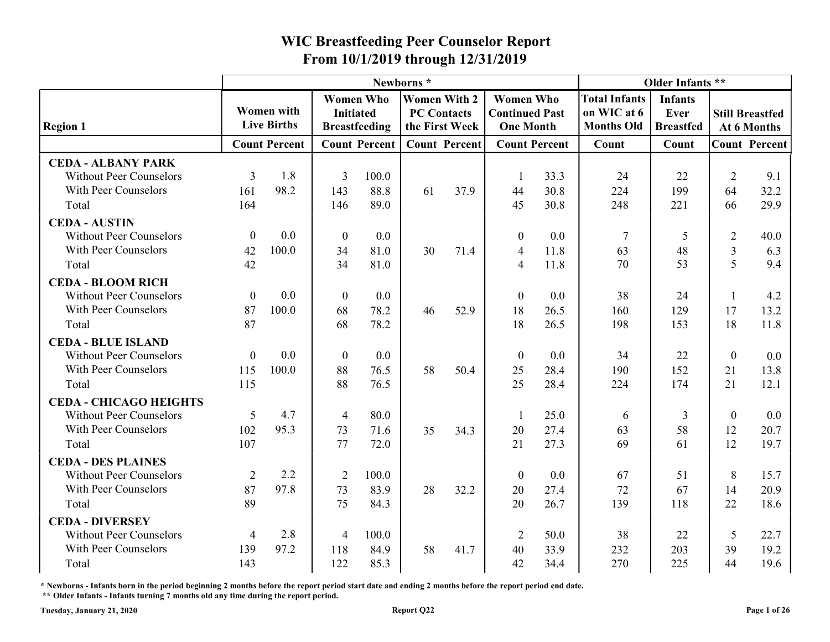|                                                             |                |                                         |                                      |                      |                                                             |                      | From 10/1/2019 through 12/31/2019                             |                      |                                                          |                                            |                |                                       |
|-------------------------------------------------------------|----------------|-----------------------------------------|--------------------------------------|----------------------|-------------------------------------------------------------|----------------------|---------------------------------------------------------------|----------------------|----------------------------------------------------------|--------------------------------------------|----------------|---------------------------------------|
|                                                             |                |                                         |                                      |                      | Newborns*                                                   |                      |                                                               |                      |                                                          | Older Infants **                           |                |                                       |
| <b>Region 1</b>                                             |                | <b>Women with</b><br><b>Live Births</b> | <b>Women Who</b><br><b>Initiated</b> | <b>Breastfeeding</b> | <b>Women With 2</b><br><b>PC Contacts</b><br>the First Week |                      | <b>Women Who</b><br><b>Continued Past</b><br><b>One Month</b> |                      | <b>Total Infants</b><br>on WIC at 6<br><b>Months Old</b> | <b>Infants</b><br>Ever<br><b>Breastfed</b> |                | <b>Still Breastfed</b><br>At 6 Months |
|                                                             |                | <b>Count Percent</b>                    |                                      | <b>Count Percent</b> |                                                             | <b>Count Percent</b> |                                                               | <b>Count Percent</b> | Count                                                    | Count                                      |                | <b>Count Percent</b>                  |
| <b>CEDA - ALBANY PARK</b><br><b>Without Peer Counselors</b> | 3              | 1.8                                     | 3                                    | 100.0                |                                                             |                      |                                                               | 33.3                 | 24                                                       | 22                                         | $\overline{2}$ | 9.1                                   |
| With Peer Counselors<br>Total                               | 161<br>164     | 98.2                                    | 143<br>146                           | 88.8<br>89.0         | 61                                                          | 37.9                 | 44<br>45                                                      | 30.8<br>30.8         | 224<br>248                                               | 199<br>221                                 | 64<br>66       | 32.2<br>29.9                          |
| <b>CEDA - AUSTIN</b>                                        |                |                                         |                                      |                      |                                                             |                      |                                                               |                      |                                                          |                                            |                |                                       |
| <b>Without Peer Counselors</b>                              | $\theta$       | 0.0                                     | $\boldsymbol{0}$                     | 0.0                  |                                                             |                      | $\boldsymbol{0}$                                              | 0.0                  | 7                                                        |                                            | $\overline{2}$ | 40.0                                  |
| With Peer Counselors                                        | 42             | 100.0                                   | 34<br>34                             | 81.0                 | 30                                                          | 71.4                 | $\overline{4}$                                                | 11.8                 | 63<br>70                                                 | 48<br>53                                   | 3<br>5         | 6.3<br>9.4                            |
| Total                                                       | 42             |                                         |                                      | 81.0                 |                                                             |                      |                                                               | 11.8                 |                                                          |                                            |                |                                       |
| <b>CEDA - BLOOM RICH</b><br><b>Without Peer Counselors</b>  | $\theta$       | 0.0                                     | $\theta$                             | 0.0                  |                                                             |                      | $\theta$                                                      | 0.0                  | 38                                                       | 24                                         |                | 4.2                                   |
| With Peer Counselors                                        | 87             | 100.0                                   | 68                                   | 78.2                 | 46                                                          | 52.9                 | 18                                                            | 26.5                 | 160                                                      | 129                                        | 17             | 13.2                                  |
| Total                                                       | 87             |                                         | 68                                   | 78.2                 |                                                             |                      | 18                                                            | 26.5                 | 198                                                      | 153                                        | 18             | 11.8                                  |
| <b>CEDA - BLUE ISLAND</b>                                   |                |                                         |                                      |                      |                                                             |                      |                                                               |                      |                                                          |                                            |                |                                       |
| <b>Without Peer Counselors</b>                              | $\theta$       | 0.0                                     | $\boldsymbol{0}$                     | $0.0\,$              |                                                             |                      | $\boldsymbol{0}$                                              | 0.0                  | 34                                                       | 22                                         | $\overline{0}$ | $0.0\,$                               |
| With Peer Counselors                                        | 115            | 100.0                                   | 88                                   | 76.5                 | 58                                                          | 50.4                 | 25                                                            | 28.4                 | 190                                                      | 152                                        | 21             | 13.8                                  |
| Total                                                       | 115            |                                         | 88                                   | 76.5                 |                                                             |                      | 25                                                            | 28.4                 | 224                                                      | 174                                        | 21             | 12.1                                  |
| <b>CEDA - CHICAGO HEIGHTS</b>                               |                |                                         |                                      |                      |                                                             |                      |                                                               |                      |                                                          |                                            |                |                                       |
| <b>Without Peer Counselors</b>                              | 5              | 4.7                                     | $\overline{4}$                       | 80.0                 |                                                             |                      |                                                               | 25.0                 | 6                                                        | 3                                          | $\theta$       | 0.0                                   |
| With Peer Counselors                                        | 102            | 95.3                                    | 73                                   | 71.6                 | 35                                                          | 34.3                 | 20                                                            | 27.4                 | 63                                                       | 58                                         | 12             | 20.7                                  |
| Total                                                       | 107            |                                         | 77                                   | 72.0                 |                                                             |                      | 21                                                            | 27.3                 | 69                                                       | 61                                         | 12             | 19.7                                  |
| <b>CEDA - DES PLAINES</b>                                   |                |                                         |                                      |                      |                                                             |                      |                                                               |                      |                                                          |                                            |                |                                       |
| <b>Without Peer Counselors</b>                              | $\overline{2}$ | 2.2                                     | 2                                    | 100.0                |                                                             |                      | $\boldsymbol{0}$                                              | 0.0                  | 67                                                       | 51                                         | 8              | 15.7                                  |
| With Peer Counselors                                        | 87             | 97.8                                    | 73                                   | 83.9                 | 28                                                          | 32.2                 | 20                                                            | 27.4                 | 72                                                       | 67                                         | 14             | 20.9                                  |
| Total                                                       | 89             |                                         | 75                                   | 84.3                 |                                                             |                      | 20                                                            | 26.7                 | 139                                                      | 118                                        | 22             | 18.6                                  |
| <b>CEDA - DIVERSEY</b>                                      |                |                                         |                                      |                      |                                                             |                      |                                                               |                      |                                                          |                                            |                |                                       |
| <b>Without Peer Counselors</b>                              | $\overline{4}$ | 2.8                                     |                                      | 100.0                |                                                             |                      | 2                                                             | 50.0                 | 38                                                       | 22                                         | 5              | 22.7                                  |
| With Peer Counselors                                        | 139            | 97.2                                    | 118                                  | 84.9                 | 58                                                          | 41.7                 | 40                                                            | 33.9                 | 232                                                      | 203                                        | 39             | 19.2                                  |
| Total                                                       | 143            |                                         | 122                                  | 85.3                 |                                                             |                      | 42                                                            | 34.4                 | 270                                                      | 225                                        | 44             | 19.6                                  |

\* Newborns - Infants born in the period beginning 2 months before the report period start date and ending 2 months before the report period end date.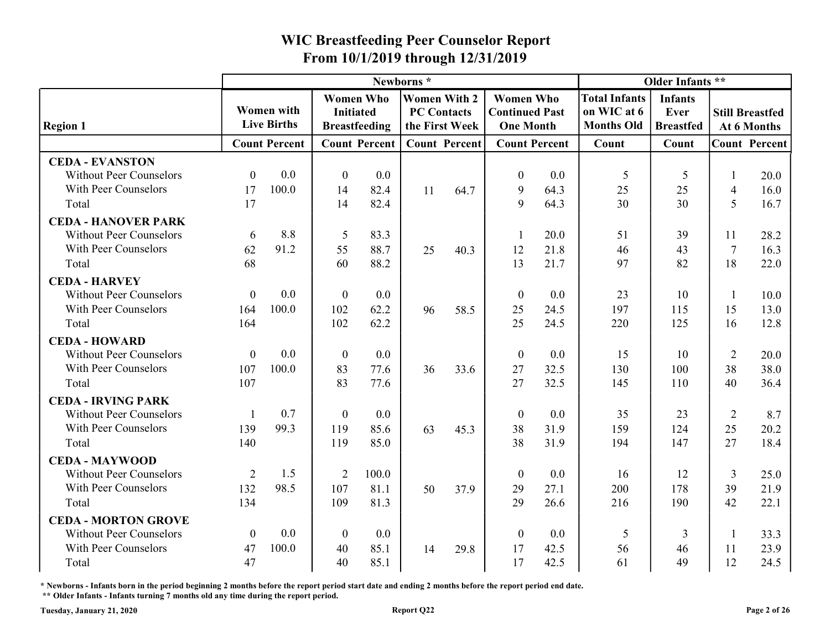|                                                                                  |                  |                                         |                                      |                      |                                           |                      | From 10/1/2019 through 12/31/2019                             |                      |                                                          |                                            |                |                                       |
|----------------------------------------------------------------------------------|------------------|-----------------------------------------|--------------------------------------|----------------------|-------------------------------------------|----------------------|---------------------------------------------------------------|----------------------|----------------------------------------------------------|--------------------------------------------|----------------|---------------------------------------|
|                                                                                  |                  |                                         |                                      |                      | Newborns*                                 |                      |                                                               |                      |                                                          | Older Infants **                           |                |                                       |
| <b>Region 1</b>                                                                  |                  | <b>Women with</b><br><b>Live Births</b> | <b>Women Who</b><br><b>Initiated</b> | <b>Breastfeeding</b> | <b>Women With 2</b><br><b>PC Contacts</b> | the First Week       | <b>Women Who</b><br><b>Continued Past</b><br><b>One Month</b> |                      | <b>Total Infants</b><br>on WIC at 6<br><b>Months Old</b> | <b>Infants</b><br>Ever<br><b>Breastfed</b> |                | <b>Still Breastfed</b><br>At 6 Months |
|                                                                                  |                  | <b>Count Percent</b>                    |                                      | <b>Count Percent</b> |                                           | <b>Count Percent</b> |                                                               | <b>Count Percent</b> | Count                                                    | Count                                      |                | <b>Count Percent</b>                  |
| <b>CEDA - EVANSTON</b><br><b>Without Peer Counselors</b><br>With Peer Counselors | $\Omega$<br>17   | 0.0<br>100.0                            | $\theta$<br>14                       | 0.0<br>82.4          | 11                                        | 64.7                 | $\boldsymbol{0}$<br>9                                         | 0.0<br>64.3          | 5<br>25                                                  | -5<br>25                                   | 4              | 20.0<br>16.0                          |
| Total                                                                            | 17               |                                         | 14                                   | 82.4                 |                                           |                      | 9                                                             | 64.3                 | 30                                                       | 30                                         | 5              | 16.7                                  |
| <b>CEDA - HANOVER PARK</b>                                                       |                  |                                         |                                      |                      |                                           |                      |                                                               |                      |                                                          |                                            |                |                                       |
| <b>Without Peer Counselors</b>                                                   | 6                | 8.8                                     | 5                                    | 83.3                 |                                           |                      |                                                               | 20.0                 | 51                                                       | 39                                         | 11             | 28.2                                  |
| With Peer Counselors                                                             | 62               | 91.2                                    | 55                                   | 88.7                 | 25                                        | 40.3                 | 12                                                            | 21.8                 | 46                                                       | 43                                         |                | 16.3                                  |
| Total                                                                            | 68               |                                         | 60                                   | 88.2                 |                                           |                      | 13                                                            | 21.7                 | 97                                                       | 82                                         | 18             | 22.0                                  |
| <b>CEDA - HARVEY</b>                                                             |                  |                                         |                                      |                      |                                           |                      |                                                               |                      |                                                          |                                            |                |                                       |
| <b>Without Peer Counselors</b>                                                   | $\Omega$         | 0.0                                     | $\theta$                             | 0.0                  |                                           |                      | $\theta$                                                      | 0.0                  | 23                                                       | 10                                         |                | 10.0                                  |
| With Peer Counselors<br>Total                                                    | 164<br>164       | 100.0                                   | 102<br>102                           | 62.2<br>62.2         | 96                                        | 58.5                 | 25<br>25                                                      | 24.5<br>24.5         | 197<br>220                                               | 115<br>125                                 | 15<br>16       | 13.0<br>12.8                          |
| <b>CEDA - HOWARD</b>                                                             |                  |                                         |                                      |                      |                                           |                      |                                                               |                      |                                                          |                                            |                |                                       |
| <b>Without Peer Counselors</b>                                                   | $\boldsymbol{0}$ | 0.0                                     | $\boldsymbol{0}$                     | $0.0\,$              |                                           |                      | $\boldsymbol{0}$                                              | 0.0                  | 15                                                       | 10                                         | $\overline{2}$ | 20.0                                  |
| With Peer Counselors                                                             | 107              | 100.0                                   | 83                                   | 77.6                 | 36                                        | 33.6                 | 27                                                            | 32.5                 | 130                                                      | 100                                        | 38             | 38.0                                  |
| Total                                                                            | 107              |                                         | 83                                   | 77.6                 |                                           |                      | 27                                                            | 32.5                 | 145                                                      | 110                                        | 40             | 36.4                                  |
| <b>CEDA - IRVING PARK</b>                                                        |                  |                                         |                                      |                      |                                           |                      |                                                               |                      |                                                          |                                            |                |                                       |
| <b>Without Peer Counselors</b>                                                   |                  | 0.7                                     | $\theta$                             | $0.0\,$              |                                           |                      | $\boldsymbol{0}$                                              | 0.0                  | 35                                                       | 23                                         | 2              | 8.7                                   |
| With Peer Counselors                                                             | 139              | 99.3                                    | 119                                  | 85.6                 | 63                                        | 45.3                 | 38                                                            | 31.9                 | 159                                                      | 124                                        | 25             | 20.2                                  |
| Total                                                                            | 140              |                                         | 119                                  | 85.0                 |                                           |                      | 38                                                            | 31.9                 | 194                                                      | 147                                        | 27             | 18.4                                  |
| <b>CEDA - MAYWOOD</b>                                                            |                  |                                         |                                      |                      |                                           |                      |                                                               |                      |                                                          |                                            |                |                                       |
| <b>Without Peer Counselors</b>                                                   | 2                | 1.5                                     | 2                                    | 100.0                |                                           |                      | $\boldsymbol{0}$                                              | 0.0                  | 16                                                       | 12                                         | 3              | 25.0                                  |
| With Peer Counselors                                                             | 132              | 98.5                                    | 107                                  | 81.1                 | 50                                        | 37.9                 | 29                                                            | 27.1                 | 200                                                      | 178                                        | 39             | 21.9                                  |
| Total                                                                            | 134              |                                         | 109                                  | 81.3                 |                                           |                      | 29                                                            | 26.6                 | 216                                                      | 190                                        | 42             | 22.1                                  |
| <b>CEDA - MORTON GROVE</b>                                                       |                  |                                         |                                      |                      |                                           |                      |                                                               |                      |                                                          |                                            |                |                                       |
| <b>Without Peer Counselors</b>                                                   | $\boldsymbol{0}$ | 0.0                                     | $\theta$                             | $0.0\,$              |                                           |                      | $\theta$                                                      | 0.0                  | 5                                                        | 3                                          |                | 33.3                                  |
| With Peer Counselors                                                             | 47               | 100.0                                   | 40                                   | 85.1                 | 14                                        | 29.8                 | 17                                                            | 42.5                 | 56                                                       | 46                                         | 11             | 23.9                                  |
| Total                                                                            | 47               |                                         | 40                                   | 85.1                 |                                           |                      | 17                                                            | 42.5                 | 61                                                       | 49                                         | 12             | 24.5                                  |

\* Newborns - Infants born in the period beginning 2 months before the report period start date and ending 2 months before the report period end date.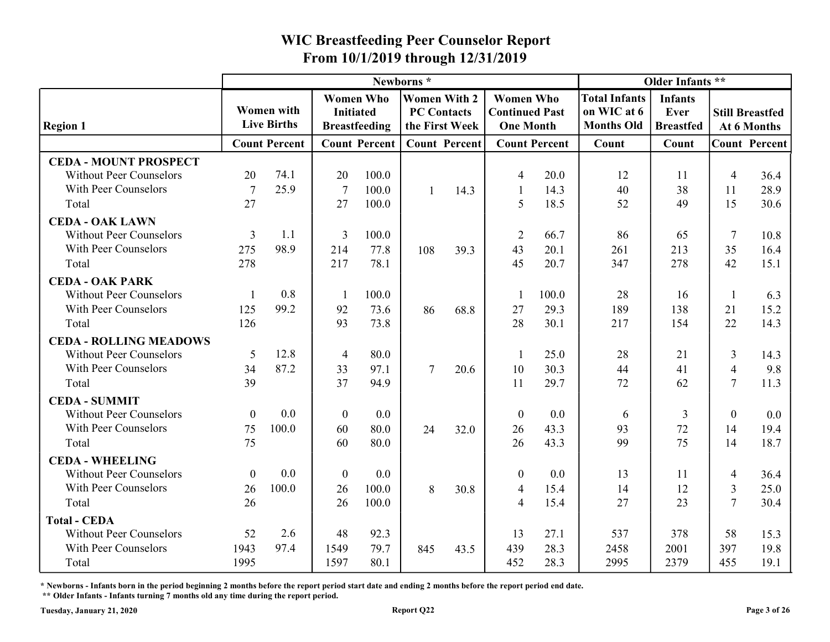|                                                          |          |                                         |                  |                                          |                                                             |      | From 10/1/2019 through 12/31/2019                             |                      |                                                          |                                            |                |                                       |
|----------------------------------------------------------|----------|-----------------------------------------|------------------|------------------------------------------|-------------------------------------------------------------|------|---------------------------------------------------------------|----------------------|----------------------------------------------------------|--------------------------------------------|----------------|---------------------------------------|
|                                                          |          |                                         |                  |                                          | Newborns*                                                   |      |                                                               |                      |                                                          | Older Infants **                           |                |                                       |
| <b>Region 1</b>                                          |          | <b>Women with</b><br><b>Live Births</b> | <b>Initiated</b> | <b>Women Who</b><br><b>Breastfeeding</b> | <b>Women With 2</b><br><b>PC Contacts</b><br>the First Week |      | <b>Women Who</b><br><b>Continued Past</b><br><b>One Month</b> |                      | <b>Total Infants</b><br>on WIC at 6<br><b>Months Old</b> | <b>Infants</b><br>Ever<br><b>Breastfed</b> |                | <b>Still Breastfed</b><br>At 6 Months |
|                                                          |          | <b>Count Percent</b>                    |                  | <b>Count Percent</b>                     | <b>Count Percent</b>                                        |      |                                                               | <b>Count Percent</b> | Count                                                    | Count                                      |                | <b>Count Percent</b>                  |
| <b>CEDA - MOUNT PROSPECT</b>                             |          |                                         |                  |                                          |                                                             |      |                                                               |                      |                                                          |                                            |                |                                       |
| <b>Without Peer Counselors</b>                           | 20       | 74.1                                    | 20               | 100.0                                    |                                                             |      |                                                               | 20.0                 | 12                                                       | 11                                         | $\overline{4}$ | 36.4                                  |
| With Peer Counselors                                     | 7        | 25.9                                    | -7               | 100.0                                    |                                                             | 14.3 |                                                               | 14.3                 | 40                                                       | 38                                         | 11             | 28.9                                  |
| Total                                                    | 27       |                                         | 27               | 100.0                                    |                                                             |      | -5                                                            | 18.5                 | 52                                                       | 49                                         | 15             | 30.6                                  |
| <b>CEDA - OAK LAWN</b>                                   |          |                                         |                  |                                          |                                                             |      |                                                               |                      |                                                          |                                            |                |                                       |
| <b>Without Peer Counselors</b>                           | 3        | 1.1                                     | 3                | 100.0                                    |                                                             |      | 2                                                             | 66.7                 | 86                                                       | 65                                         | 7              | 10.8                                  |
| With Peer Counselors                                     | 275      | 98.9                                    | 214              | 77.8                                     | 108                                                         | 39.3 | 43                                                            | 20.1                 | 261<br>347                                               | 213<br>278                                 | 35<br>42       | 16.4                                  |
| Total                                                    | 278      |                                         | 217              | 78.1                                     |                                                             |      | 45                                                            | 20.7                 |                                                          |                                            |                | 15.1                                  |
| <b>CEDA - OAK PARK</b><br><b>Without Peer Counselors</b> |          | 0.8                                     |                  |                                          |                                                             |      |                                                               |                      |                                                          |                                            |                |                                       |
| With Peer Counselors                                     | 125      | 99.2                                    | 92               | 100.0<br>73.6                            | 86                                                          | 68.8 | 27                                                            | 100.0<br>29.3        | 28<br>189                                                | 16<br>138                                  | 21             | 6.3<br>15.2                           |
| Total                                                    | 126      |                                         | 93               | 73.8                                     |                                                             |      | 28                                                            | 30.1                 | 217                                                      | 154                                        | 22             | 14.3                                  |
| <b>CEDA - ROLLING MEADOWS</b>                            |          |                                         |                  |                                          |                                                             |      |                                                               |                      |                                                          |                                            |                |                                       |
| <b>Without Peer Counselors</b>                           | 5        | 12.8                                    | $\overline{4}$   | 80.0                                     |                                                             |      |                                                               | 25.0                 | 28                                                       | 21                                         | $\mathfrak{Z}$ | 14.3                                  |
| With Peer Counselors                                     | 34       | 87.2                                    | 33               | 97.1                                     | $\tau$                                                      | 20.6 | 10                                                            | 30.3                 | 44                                                       | 41                                         | $\overline{4}$ | 9.8                                   |
| Total                                                    | 39       |                                         | 37               | 94.9                                     |                                                             |      | 11                                                            | 29.7                 | 72                                                       | 62                                         | $\tau$         | 11.3                                  |
| <b>CEDA - SUMMIT</b>                                     |          |                                         |                  |                                          |                                                             |      |                                                               |                      |                                                          |                                            |                |                                       |
| <b>Without Peer Counselors</b>                           | $\theta$ | 0.0                                     | $\theta$         | $0.0\,$                                  |                                                             |      | $\boldsymbol{0}$                                              | 0.0                  | 6                                                        |                                            | $\theta$       | 0.0                                   |
| With Peer Counselors                                     | 75       | 100.0                                   | 60               | 80.0                                     | 24                                                          | 32.0 | 26                                                            | 43.3                 | 93                                                       | 72                                         | 14             | 19.4                                  |
| Total                                                    | 75       |                                         | 60               | 80.0                                     |                                                             |      | 26                                                            | 43.3                 | 99                                                       | 75                                         | 14             | 18.7                                  |
| <b>CEDA - WHEELING</b>                                   |          |                                         |                  |                                          |                                                             |      |                                                               |                      |                                                          |                                            |                |                                       |
| <b>Without Peer Counselors</b>                           | $\theta$ | 0.0                                     | $\theta$         | 0.0                                      |                                                             |      | $\boldsymbol{0}$                                              | 0.0                  | 13                                                       | 11                                         | 4              | 36.4                                  |
| With Peer Counselors                                     | 26       | 100.0                                   | 26               | 100.0                                    | 8                                                           | 30.8 |                                                               | 15.4                 | 14                                                       | 12                                         | 3              | 25.0                                  |
| Total                                                    | 26       |                                         | 26               | 100.0                                    |                                                             |      |                                                               | 15.4                 | 27                                                       | 23                                         | $\mathcal{I}$  | 30.4                                  |
| <b>Total - CEDA</b>                                      |          |                                         |                  |                                          |                                                             |      |                                                               |                      |                                                          |                                            |                |                                       |
| <b>Without Peer Counselors</b>                           | 52       | 2.6                                     | 48               | 92.3                                     |                                                             |      | 13                                                            | 27.1                 | 537                                                      | 378                                        | 58             | 15.3                                  |
| With Peer Counselors                                     | 1943     | 97.4                                    | 1549             | 79.7                                     | 845                                                         | 43.5 | 439                                                           | 28.3                 | 2458                                                     | 2001                                       | 397            | 19.8                                  |
| Total                                                    | 1995     |                                         | 1597             | 80.1                                     |                                                             |      | 452                                                           | 28.3                 | 2995                                                     | 2379                                       | 455            | 19.1                                  |

\* Newborns - Infants born in the period beginning 2 months before the report period start date and ending 2 months before the report period end date.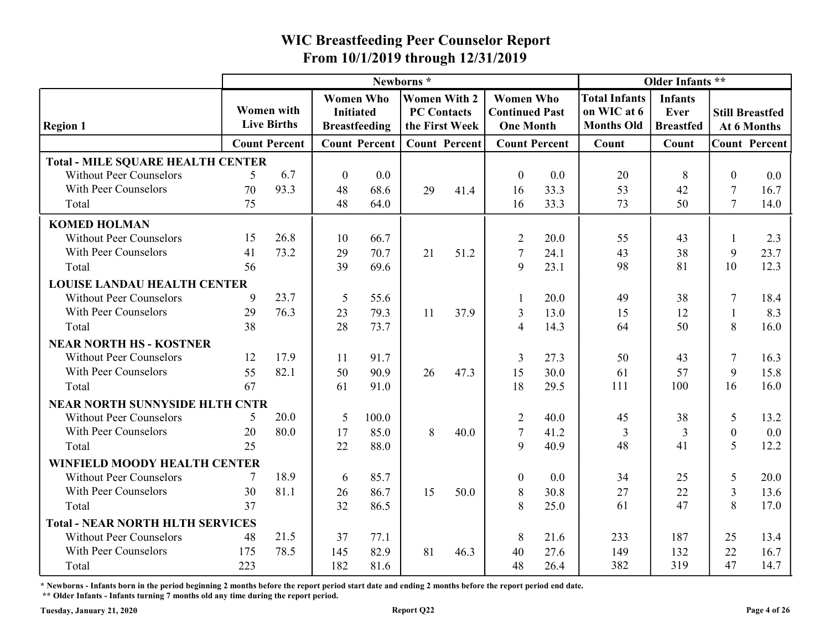|                                          |          |                                         |                  |                      | Newborns*                            |                      |                                           |              |                                  | Older Infants **         |                |                                       |
|------------------------------------------|----------|-----------------------------------------|------------------|----------------------|--------------------------------------|----------------------|-------------------------------------------|--------------|----------------------------------|--------------------------|----------------|---------------------------------------|
|                                          |          |                                         | <b>Women Who</b> |                      | <b>Women With 2</b>                  |                      | <b>Women Who</b>                          |              | <b>Total Infants</b>             | <b>Infants</b>           |                |                                       |
| <b>Region 1</b>                          |          | <b>Women</b> with<br><b>Live Births</b> | <b>Initiated</b> | <b>Breastfeeding</b> | <b>PC Contacts</b><br>the First Week |                      | <b>Continued Past</b><br><b>One Month</b> |              | on WIC at 6<br><b>Months Old</b> | Ever<br><b>Breastfed</b> |                | <b>Still Breastfed</b><br>At 6 Months |
|                                          |          | <b>Count Percent</b>                    |                  | <b>Count Percent</b> |                                      | <b>Count Percent</b> | <b>Count Percent</b>                      |              | Count                            | Count                    |                | <b>Count Percent</b>                  |
| <b>Total - MILE SQUARE HEALTH CENTER</b> |          |                                         |                  |                      |                                      |                      |                                           |              |                                  |                          |                |                                       |
| <b>Without Peer Counselors</b>           | $\sim$   | 6.7                                     | $\overline{0}$   | 0.0                  |                                      |                      | $\boldsymbol{0}$                          | 0.0          | 20                               | 8                        | $\Omega$       | 0.0                                   |
| With Peer Counselors                     | 70       | 93.3                                    | 48               | 68.6                 | 29                                   | 41.4                 | 16                                        | 33.3         | 53                               | 42                       | 7              | 16.7                                  |
| Total                                    | 75       |                                         | 48               | 64.0                 |                                      |                      | 16                                        | 33.3         | 73                               | 50                       | $\tau$         | 14.0                                  |
| <b>KOMED HOLMAN</b>                      |          |                                         |                  |                      |                                      |                      |                                           |              |                                  |                          |                |                                       |
| <b>Without Peer Counselors</b>           | 15       | 26.8                                    | 10               | 66.7                 |                                      |                      | 2                                         | 20.0         | 55                               | 43                       |                | 2.3                                   |
| With Peer Counselors                     | 41       | 73.2                                    | 29               | 70.7                 | 21                                   | 51.2                 | 7                                         | 24.1         | 43                               | 38                       | 9              | 23.7                                  |
| Total                                    | 56       |                                         | 39               | 69.6                 |                                      |                      | 9                                         | 23.1         | 98                               | 81                       | 10             | 12.3                                  |
| <b>LOUISE LANDAU HEALTH CENTER</b>       |          |                                         |                  |                      |                                      |                      |                                           |              |                                  |                          |                |                                       |
| <b>Without Peer Counselors</b>           | 9        | 23.7                                    | 5                | 55.6                 |                                      |                      |                                           | 20.0         | 49                               | 38                       |                | 18.4                                  |
| With Peer Counselors<br>Total            | 29<br>38 | 76.3                                    | 23<br>28         | 79.3<br>73.7         | 11                                   | 37.9                 | 3                                         | 13.0<br>14.3 | 15<br>64                         | 12<br>50                 | 8              | 8.3<br>16.0                           |
| <b>NEAR NORTH HS - KOSTNER</b>           |          |                                         |                  |                      |                                      |                      |                                           |              |                                  |                          |                |                                       |
| <b>Without Peer Counselors</b>           | 12       | 17.9                                    | -11              | 91.7                 |                                      |                      | 3                                         | 27.3         | 50                               | 43                       | 7              | 16.3                                  |
| With Peer Counselors                     | 55       | 82.1                                    | 50               | 90.9                 | 26                                   | 47.3                 | 15                                        | 30.0         | 61                               | 57                       | 9              | 15.8                                  |
| Total                                    | 67       |                                         | 61               | 91.0                 |                                      |                      | 18                                        | 29.5         | 111                              | 100                      | 16             | 16.0                                  |
| <b>NEAR NORTH SUNNYSIDE HLTH CNTR</b>    |          |                                         |                  |                      |                                      |                      |                                           |              |                                  |                          |                |                                       |
| <b>Without Peer Counselors</b>           | 5        | 20.0                                    | -5               | 100.0                |                                      |                      | 2                                         | 40.0         | 45                               | 38                       | 5              | 13.2                                  |
| With Peer Counselors                     | 20       | 80.0                                    | 17               | 85.0                 | 8                                    | 40.0                 | 7                                         | 41.2         | 3                                | 3                        | $\overline{0}$ | 0.0                                   |
| Total                                    | 25       |                                         | 22               | 88.0                 |                                      |                      | 9                                         | 40.9         | 48                               | 41                       | 5              | 12.2                                  |
| WINFIELD MOODY HEALTH CENTER             |          |                                         |                  |                      |                                      |                      |                                           |              |                                  |                          |                |                                       |
| <b>Without Peer Counselors</b>           |          | 18.9                                    | 6                | 85.7                 |                                      |                      | $\overline{0}$                            | 0.0          | 34                               | 25                       | 5              | 20.0                                  |
| With Peer Counselors                     | 30       | 81.1                                    | 26               | 86.7                 | 15                                   | 50.0                 | 8                                         | 30.8         | 27                               | 22                       | 3              | 13.6                                  |
| Total                                    | 37       |                                         | 32               | 86.5                 |                                      |                      | 8                                         | 25.0         | 61                               | 47                       | 8              | 17.0                                  |
| <b>Total - NEAR NORTH HLTH SERVICES</b>  |          |                                         |                  |                      |                                      |                      |                                           |              |                                  |                          |                |                                       |
| <b>Without Peer Counselors</b>           | 48       | 21.5                                    | 37               | 77.1                 |                                      |                      | 8                                         | 21.6         | 233                              | 187                      | 25             | 13.4                                  |
| With Peer Counselors                     | 175      | 78.5                                    | 145              | 82.9                 | 81                                   | 46.3                 | 40                                        | 27.6         | 149                              | 132                      | 22             | 16.7                                  |
| Total                                    | 223      |                                         | 182              | 81.6                 |                                      |                      | 48                                        | 26.4         | 382                              | 319                      | 47             | 14.7                                  |

\* Newborns - Infants born in the period beginning 2 months before the report period start date and ending 2 months before the report period end date.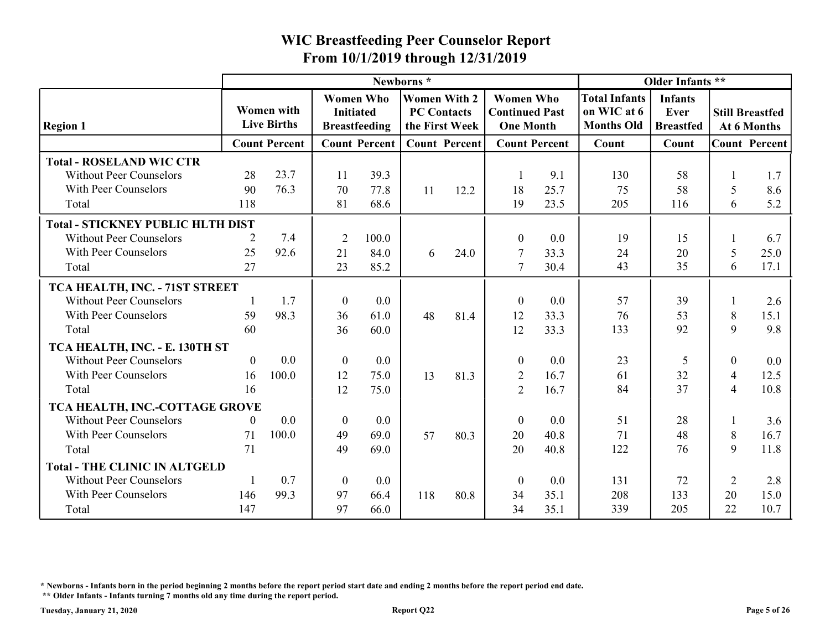|                                          |                |                                  |                                      |                      |                                                             |      | From 10/1/2019 through 12/31/2019                             |                      |                                                          |                                                   |                |                                       |
|------------------------------------------|----------------|----------------------------------|--------------------------------------|----------------------|-------------------------------------------------------------|------|---------------------------------------------------------------|----------------------|----------------------------------------------------------|---------------------------------------------------|----------------|---------------------------------------|
|                                          |                |                                  |                                      |                      | Newborns*                                                   |      |                                                               |                      |                                                          | Older Infants **                                  |                |                                       |
| <b>Region 1</b>                          |                | Women with<br><b>Live Births</b> | <b>Women Who</b><br><b>Initiated</b> | <b>Breastfeeding</b> | <b>Women With 2</b><br><b>PC Contacts</b><br>the First Week |      | <b>Women Who</b><br><b>Continued Past</b><br><b>One Month</b> |                      | <b>Total Infants</b><br>on WIC at 6<br><b>Months Old</b> | <b>Infants</b><br><b>Ever</b><br><b>Breastfed</b> |                | <b>Still Breastfed</b><br>At 6 Months |
|                                          |                | <b>Count Percent</b>             |                                      | <b>Count Percent</b> | <b>Count Percent</b>                                        |      |                                                               | <b>Count Percent</b> | Count                                                    | Count                                             |                | <b>Count Percent</b>                  |
| <b>Total - ROSELAND WIC CTR</b>          |                |                                  |                                      |                      |                                                             |      |                                                               |                      |                                                          |                                                   |                |                                       |
| <b>Without Peer Counselors</b>           | 28             | 23.7                             | 11                                   | 39.3                 |                                                             |      |                                                               | 9.1                  | 130                                                      | 58                                                |                | 1.7                                   |
| With Peer Counselors                     | 90             | 76.3                             | 70                                   | 77.8                 | 11                                                          | 12.2 | 18                                                            | 25.7                 | 75                                                       | 58                                                | 5              | 8.6                                   |
| Total                                    | 118            |                                  | 81                                   | 68.6                 |                                                             |      | 19                                                            | 23.5                 | 205                                                      | 116                                               | 6              | 5.2                                   |
| <b>Total - STICKNEY PUBLIC HLTH DIST</b> |                |                                  |                                      |                      |                                                             |      |                                                               |                      |                                                          |                                                   |                |                                       |
| <b>Without Peer Counselors</b>           | 2              | 7.4                              | $\overline{2}$                       | 100.0                |                                                             |      | $\boldsymbol{0}$                                              | 0.0                  | 19                                                       | 15                                                |                | 6.7                                   |
| With Peer Counselors                     | 25             | 92.6                             | 21                                   | 84.0                 | 6                                                           | 24.0 | -7                                                            | 33.3                 | 24                                                       | 20                                                | 5              | 25.0                                  |
| Total                                    | 27             |                                  | 23                                   | 85.2                 |                                                             |      | $\overline{7}$                                                | 30.4                 | 43                                                       | 35                                                | 6              | 17.1                                  |
| TCA HEALTH, INC. - 71ST STREET           |                |                                  |                                      |                      |                                                             |      |                                                               |                      |                                                          |                                                   |                |                                       |
| <b>Without Peer Counselors</b>           |                | 1.7                              | $\bf{0}$                             | 0.0                  |                                                             |      | $\Omega$                                                      | 0.0                  | 57                                                       | 39                                                |                | 2.6                                   |
| With Peer Counselors                     | 59             | 98.3                             | 36                                   | 61.0                 | 48                                                          | 81.4 | 12                                                            | 33.3                 | 76                                                       | 53                                                | 8              | 15.1                                  |
| Total                                    | 60             |                                  | 36                                   | 60.0                 |                                                             |      | 12                                                            | 33.3                 | 133                                                      | 92                                                | 9              | 9.8                                   |
| TCA HEALTH, INC. - E. 130TH ST           |                |                                  |                                      |                      |                                                             |      |                                                               |                      |                                                          |                                                   |                |                                       |
| <b>Without Peer Counselors</b>           | $\overline{0}$ | 0.0                              | $\overline{0}$                       | $0.0\,$              |                                                             |      | $\boldsymbol{0}$                                              | 0.0                  | 23                                                       | 5                                                 | $\mathbf{0}$   | 0.0                                   |
| With Peer Counselors                     | 16             | 100.0                            | 12                                   | 75.0                 | 13                                                          | 81.3 | $\overline{2}$                                                | 16.7                 | 61                                                       | 32                                                | 4              | 12.5                                  |
| Total                                    | 16             |                                  | 12                                   | 75.0                 |                                                             |      | 2                                                             | 16.7                 | 84                                                       | 37                                                | $\overline{4}$ | 10.8                                  |
| TCA HEALTH, INC.-COTTAGE GROVE           |                |                                  |                                      |                      |                                                             |      |                                                               |                      |                                                          |                                                   |                |                                       |
| <b>Without Peer Counselors</b>           | $\Omega$       | 0.0                              | $\theta$                             | $0.0\,$              |                                                             |      | $\boldsymbol{0}$                                              | 0.0                  | 51                                                       | 28                                                |                | 3.6                                   |
| With Peer Counselors                     | 71             | 100.0                            | 49                                   | 69.0                 | 57                                                          | 80.3 | 20                                                            | 40.8                 | 71                                                       | 48                                                | 8              | 16.7                                  |
| Total                                    | 71             |                                  | 49                                   | 69.0                 |                                                             |      | 20                                                            | 40.8                 | 122                                                      | 76                                                | 9              | 11.8                                  |
| <b>Total - THE CLINIC IN ALTGELD</b>     |                |                                  |                                      |                      |                                                             |      |                                                               |                      |                                                          |                                                   |                |                                       |
| <b>Without Peer Counselors</b>           |                | 0.7                              | $\bf{0}$                             | $0.0\,$              |                                                             |      | $\boldsymbol{0}$                                              | 0.0                  | 131                                                      | 72                                                | 2              | 2.8                                   |
| With Peer Counselors                     | 146            | 99.3                             | 97                                   | 66.4                 | 118                                                         | 80.8 | 34                                                            | 35.1                 | 208                                                      | 133                                               | 20             | 15.0                                  |
| Total                                    | 147            |                                  | 97                                   | 66.0                 |                                                             |      | 34                                                            | 35.1                 | 339                                                      | 205                                               | 22             | 10.7                                  |

\* Newborns - Infants born in the period beginning 2 months before the report period start date and ending 2 months before the report period end date.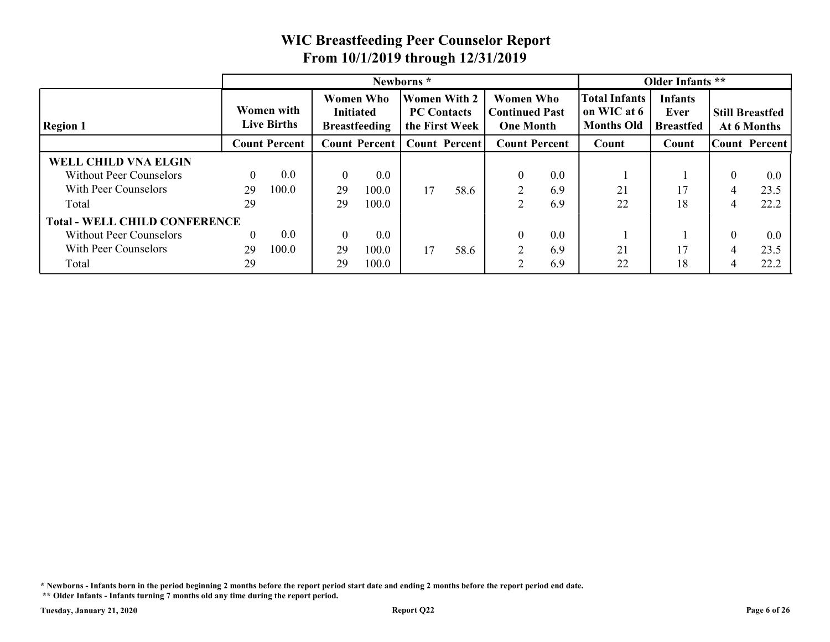|                                      |                |                                         |                  |                                          |                                    |                      | <b>WIC Breastfeeding Peer Counselor Report</b>                |     |                                                          |                                            |                                       |              |
|--------------------------------------|----------------|-----------------------------------------|------------------|------------------------------------------|------------------------------------|----------------------|---------------------------------------------------------------|-----|----------------------------------------------------------|--------------------------------------------|---------------------------------------|--------------|
|                                      |                |                                         |                  |                                          |                                    |                      | From 10/1/2019 through 12/31/2019                             |     |                                                          |                                            |                                       |              |
|                                      |                |                                         |                  |                                          | Newborns*                          |                      |                                                               |     |                                                          | Older Infants **                           |                                       |              |
| <b>Region 1</b>                      |                | <b>Women with</b><br><b>Live Births</b> | <b>Initiated</b> | <b>Women Who</b><br><b>Breastfeeding</b> | Women With 2<br><b>PC Contacts</b> | the First Week       | <b>Women Who</b><br><b>Continued Past</b><br><b>One Month</b> |     | <b>Total Infants</b><br>on WIC at 6<br><b>Months Old</b> | <b>Infants</b><br>Ever<br><b>Breastfed</b> | <b>Still Breastfed</b><br>At 6 Months |              |
|                                      |                | <b>Count Percent</b>                    |                  | <b>Count Percent</b>                     |                                    | <b>Count Percent</b> | <b>Count Percent</b>                                          |     | Count                                                    | Count                                      | Count Percent                         |              |
|                                      |                |                                         |                  |                                          |                                    |                      |                                                               |     |                                                          |                                            |                                       |              |
| <b>WELL CHILD VNA ELGIN</b>          |                |                                         |                  | 0.0                                      |                                    |                      | $\theta$                                                      | 0.0 |                                                          |                                            | $\theta$                              | 0.0          |
| <b>Without Peer Counselors</b>       | $\overline{0}$ | 0.0                                     | $\overline{0}$   |                                          |                                    |                      |                                                               |     | 21                                                       | 17                                         | 4                                     | 23.5         |
| With Peer Counselors                 | 29             | 100.0                                   | 29               | 100.0                                    | 17                                 | 58.6                 | $\overline{2}$                                                | 6.9 |                                                          |                                            |                                       |              |
| Total                                | 29             |                                         | 29               | 100.0                                    |                                    |                      | $\overline{2}$                                                | 6.9 | 22                                                       | 18                                         | $\overline{4}$                        | 22.2         |
| <b>Total - WELL CHILD CONFERENCE</b> |                |                                         |                  |                                          |                                    |                      |                                                               |     |                                                          |                                            |                                       |              |
| <b>Without Peer Counselors</b>       | $\theta$       | 0.0                                     | $\theta$         | 0.0                                      |                                    |                      | $\Omega$                                                      | 0.0 |                                                          |                                            | $\overline{0}$                        | 0.0          |
| With Peer Counselors<br>Total        | 29<br>29       | 100.0                                   | 29<br>29         | 100.0<br>100.0                           | 17                                 | 58.6                 | 2                                                             | 6.9 | 21<br>22                                                 | 17<br>18                                   | $\overline{4}$                        | 23.5<br>22.2 |

\* Newborns - Infants born in the period beginning 2 months before the report period start date and ending 2 months before the report period end date.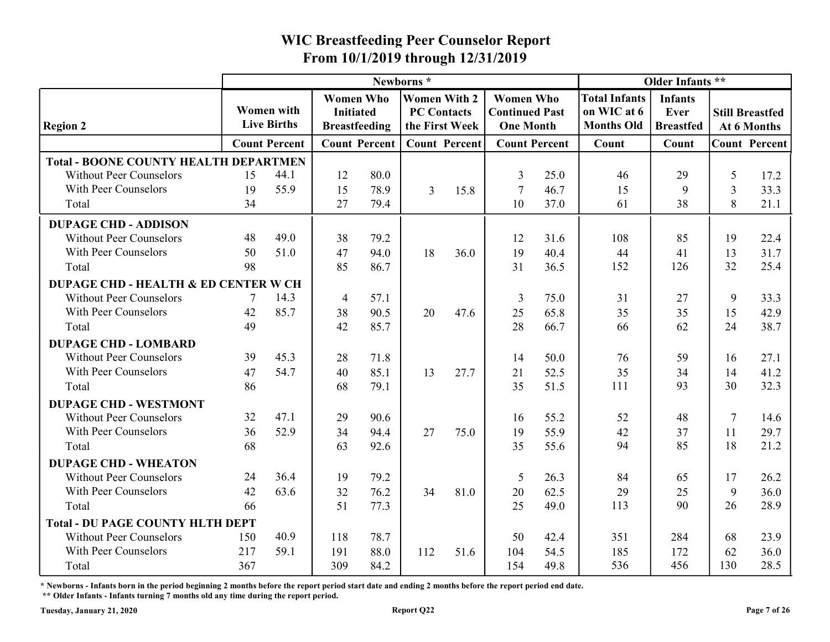|                                                               |     |                                  |                                                              |              | Newborns*                                                   |      |                                                               |                      |                                                          | Older Infants **                           |          |                                       |
|---------------------------------------------------------------|-----|----------------------------------|--------------------------------------------------------------|--------------|-------------------------------------------------------------|------|---------------------------------------------------------------|----------------------|----------------------------------------------------------|--------------------------------------------|----------|---------------------------------------|
| <b>Region 2</b>                                               |     | Women with<br><b>Live Births</b> | <b>Women Who</b><br><b>Initiated</b><br><b>Breastfeeding</b> |              | <b>Women With 2</b><br><b>PC Contacts</b><br>the First Week |      | <b>Women Who</b><br><b>Continued Past</b><br><b>One Month</b> |                      | <b>Total Infants</b><br>on WIC at 6<br><b>Months Old</b> | <b>Infants</b><br>Ever<br><b>Breastfed</b> |          | <b>Still Breastfed</b><br>At 6 Months |
|                                                               |     | <b>Count Percent</b>             | <b>Count Percent</b>                                         |              | <b>Count Percent</b>                                        |      |                                                               | <b>Count Percent</b> | Count                                                    | Count                                      |          | <b>Count Percent</b>                  |
| <b>Total - BOONE COUNTY HEALTH DEPARTMEN</b>                  |     |                                  |                                                              |              |                                                             |      |                                                               |                      |                                                          |                                            |          |                                       |
| <b>Without Peer Counselors</b>                                | 15  | 44.1                             | 12                                                           | 80.0         |                                                             |      | 3                                                             | 25.0                 | 46                                                       | 29                                         | 5        | 17.2                                  |
| With Peer Counselors                                          | 19  | 55.9                             | 15                                                           | 78.9         | 3                                                           | 15.8 |                                                               | 46.7                 | 15                                                       | Q                                          | 3        | 33.3                                  |
| Total                                                         | 34  |                                  | 27                                                           | 79.4         |                                                             |      | 10                                                            | 37.0                 | 61                                                       | 38                                         | 8        | 21.1                                  |
| <b>DUPAGE CHD - ADDISON</b>                                   |     |                                  |                                                              |              |                                                             |      |                                                               |                      |                                                          |                                            |          |                                       |
| <b>Without Peer Counselors</b>                                | 48  | 49.0                             | 38                                                           | 79.2         |                                                             |      | 12                                                            | 31.6                 | 108                                                      | 85                                         | 19       | 22.4                                  |
| With Peer Counselors                                          | 50  | 51.0                             | 47                                                           | 94.0         | 18                                                          | 36.0 | 19                                                            | 40.4                 | 44                                                       | 41                                         | 13       | 31.7                                  |
| Total                                                         | 98  |                                  | 85                                                           | 86.7         |                                                             |      | 31                                                            | 36.5                 | 152                                                      | 126                                        | 32       | 25.4                                  |
| <b>DUPAGE CHD - HEALTH &amp; ED CENTER W CH</b>               |     |                                  |                                                              |              |                                                             |      |                                                               |                      |                                                          |                                            |          |                                       |
| <b>Without Peer Counselors</b>                                |     | 14.3                             | $\overline{4}$                                               | 57.1         |                                                             |      | 3                                                             | 75.0                 | 31                                                       | 27                                         | 9        | 33.3                                  |
| With Peer Counselors                                          | 42  | 85.7                             | 38                                                           | 90.5         | 20                                                          | 47.6 | 25                                                            | 65.8                 | 35                                                       | 35                                         | 15       | 42.9                                  |
| Total                                                         | 49  |                                  | 42                                                           | 85.7         |                                                             |      | 28                                                            | 66.7                 | 66                                                       | 62                                         | 24       | 38.7                                  |
| <b>DUPAGE CHD - LOMBARD</b><br><b>Without Peer Counselors</b> | 39  | 45.3                             |                                                              |              |                                                             |      |                                                               |                      |                                                          |                                            |          |                                       |
| With Peer Counselors                                          | 47  | 54.7                             | 28<br>40                                                     | 71.8<br>85.1 | 13                                                          | 27.7 | 14<br>21                                                      | 50.0<br>52.5         | 76<br>35                                                 | 59<br>34                                   | 16<br>14 | 27.1<br>41.2                          |
| Total                                                         | 86  |                                  | 68                                                           | 79.1         |                                                             |      | 35                                                            | 51.5                 | 111                                                      | 93                                         | 30       | 32.3                                  |
| <b>DUPAGE CHD - WESTMONT</b>                                  |     |                                  |                                                              |              |                                                             |      |                                                               |                      |                                                          |                                            |          |                                       |
| <b>Without Peer Counselors</b>                                | 32  | 47.1                             | 29                                                           | 90.6         |                                                             |      | 16                                                            | 55.2                 | 52                                                       | 48                                         | 7        | 14.6                                  |
| With Peer Counselors                                          | 36  | 52.9                             | 34                                                           | 94.4         | 27                                                          | 75.0 | 19                                                            | 55.9                 | 42                                                       | 37                                         | 11       | 29.7                                  |
| Total                                                         | 68  |                                  | 63                                                           | 92.6         |                                                             |      | 35                                                            | 55.6                 | 94                                                       | 85                                         | 18       | 21.2                                  |
| <b>DUPAGE CHD - WHEATON</b>                                   |     |                                  |                                                              |              |                                                             |      |                                                               |                      |                                                          |                                            |          |                                       |
| <b>Without Peer Counselors</b>                                | 24  | 36.4                             | 19                                                           | 79.2         |                                                             |      | 5                                                             | 26.3                 | 84                                                       | 65                                         | 17       | 26.2                                  |
| With Peer Counselors                                          | 42  | 63.6                             | 32                                                           | 76.2         | 34                                                          | 81.0 | 20                                                            | 62.5                 | 29                                                       | 25                                         | 9        | 36.0                                  |
| Total                                                         | 66  |                                  | 51                                                           | 77.3         |                                                             |      | 25                                                            | 49.0                 | 113                                                      | 90                                         | 26       | 28.9                                  |
| <b>Total - DU PAGE COUNTY HLTH DEPT</b>                       |     |                                  |                                                              |              |                                                             |      |                                                               |                      |                                                          |                                            |          |                                       |
| <b>Without Peer Counselors</b>                                | 150 | 40.9                             | 118                                                          | 78.7         |                                                             |      | 50                                                            | 42.4                 | 351                                                      | 284                                        | 68       | 23.9                                  |
| With Peer Counselors                                          | 217 | 59.1                             | 191                                                          | 88.0         | 112                                                         | 51.6 | 104                                                           | 54.5                 | 185                                                      | 172                                        | 62       | 36.0                                  |
| Total                                                         | 367 |                                  | 309                                                          | 84.2         |                                                             |      | 154                                                           | 49.8                 | 536                                                      | 456                                        | 130      | 28.5                                  |

\* Newborns - Infants born in the period beginning 2 months before the report period start date and ending 2 months before the report period end date.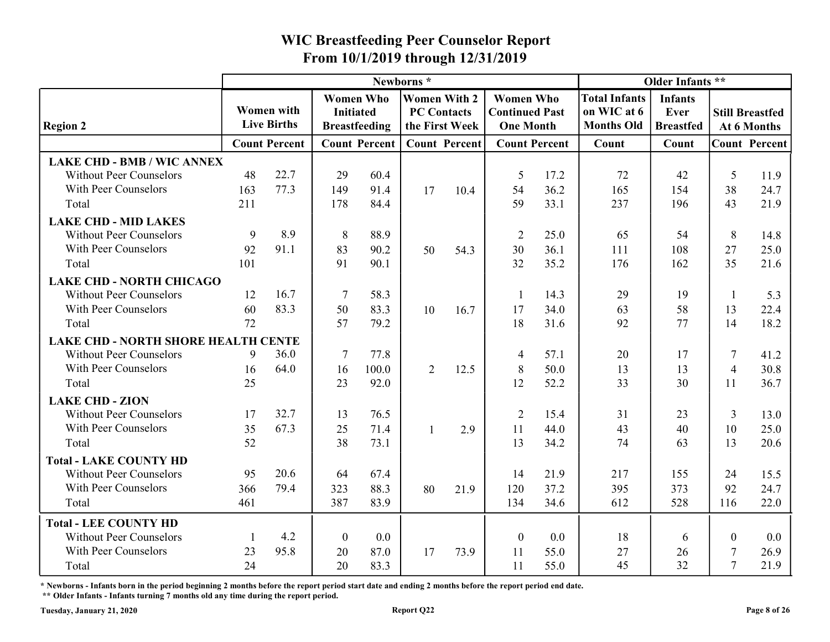|                                                                 |          |                                  |                  |                      | Newborns*                            |      |                                           |              |                                  | Older Infants **                |                |                                       |
|-----------------------------------------------------------------|----------|----------------------------------|------------------|----------------------|--------------------------------------|------|-------------------------------------------|--------------|----------------------------------|---------------------------------|----------------|---------------------------------------|
|                                                                 |          |                                  | <b>Women Who</b> |                      | <b>Women With 2</b>                  |      | <b>Women Who</b>                          |              | <b>Total Infants</b>             | <b>Infants</b>                  |                |                                       |
| <b>Region 2</b>                                                 |          | Women with<br><b>Live Births</b> | <b>Initiated</b> | <b>Breastfeeding</b> | <b>PC Contacts</b><br>the First Week |      | <b>Continued Past</b><br><b>One Month</b> |              | on WIC at 6<br><b>Months Old</b> | <b>Ever</b><br><b>Breastfed</b> |                | <b>Still Breastfed</b><br>At 6 Months |
|                                                                 |          | <b>Count Percent</b>             |                  | <b>Count Percent</b> | <b>Count Percent</b>                 |      | <b>Count Percent</b>                      |              | Count                            | Count                           |                | <b>Count Percent</b>                  |
| <b>LAKE CHD - BMB / WIC ANNEX</b>                               |          |                                  |                  |                      |                                      |      |                                           |              |                                  |                                 |                |                                       |
| <b>Without Peer Counselors</b>                                  | 48       | 22.7                             | 29               | 60.4                 |                                      |      | 5                                         | 17.2         | 72                               | 42                              | 5              | 11.9                                  |
| With Peer Counselors                                            | 163      | 77.3                             | 149              | 91.4                 | 17                                   | 10.4 | 54                                        | 36.2         | 165                              | 154                             | 38             | 24.7                                  |
| Total                                                           | 211      |                                  | 178              | 84.4                 |                                      |      | 59                                        | 33.1         | 237                              | 196                             | 43             | 21.9                                  |
| <b>LAKE CHD - MID LAKES</b>                                     |          |                                  |                  |                      |                                      |      |                                           |              |                                  |                                 |                |                                       |
| <b>Without Peer Counselors</b>                                  | 9        | 8.9                              | 8                | 88.9                 |                                      |      | $\overline{2}$                            | 25.0         | 65                               | 54                              | 8              | 14.8                                  |
| With Peer Counselors                                            | 92       | 91.1                             | 83               | 90.2                 | 50                                   | 54.3 | 30                                        | 36.1         | 111                              | 108                             | 27             | 25.0                                  |
| Total                                                           | 101      |                                  | 91               | 90.1                 |                                      |      | 32                                        | 35.2         | 176                              | 162                             | 35             | 21.6                                  |
| <b>LAKE CHD - NORTH CHICAGO</b>                                 |          |                                  |                  |                      |                                      |      |                                           |              |                                  |                                 |                |                                       |
| <b>Without Peer Counselors</b>                                  | 12       | 16.7                             |                  | 58.3                 |                                      |      |                                           | 14.3         | 29                               | 19                              |                | 5.3                                   |
| With Peer Counselors                                            | 60       | 83.3                             | 50               | 83.3                 | 10                                   | 16.7 | 17                                        | 34.0         | 63                               | 58                              | 13             | 22.4                                  |
| Total                                                           | 72       |                                  | 57               | 79.2                 |                                      |      | 18                                        | 31.6         | 92                               | 77                              | 14             | 18.2                                  |
| LAKE CHD - NORTH SHORE HEALTH CENTE                             |          |                                  |                  |                      |                                      |      |                                           |              |                                  |                                 |                |                                       |
| <b>Without Peer Counselors</b>                                  | 9        | 36.0                             | -7               | 77.8                 |                                      |      | $\overline{4}$                            | 57.1         | 20                               | 17                              | 7              | 41.2                                  |
| With Peer Counselors                                            | 16       | 64.0                             | 16               | 100.0                | $\overline{2}$                       | 12.5 | 8                                         | 50.0         | 13                               | 13                              | $\overline{4}$ | 30.8                                  |
| Total                                                           | 25       |                                  | 23               | 92.0                 |                                      |      | 12                                        | 52.2         | 33                               | 30                              | <sup>11</sup>  | 36.7                                  |
| <b>LAKE CHD - ZION</b>                                          |          |                                  |                  |                      |                                      |      |                                           |              |                                  |                                 |                |                                       |
| <b>Without Peer Counselors</b><br>With Peer Counselors          | 17       | 32.7<br>67.3                     | 13               | 76.5                 |                                      |      | 2                                         | 15.4         | 31                               | 23                              | 3              | 13.0                                  |
| Total                                                           | 35<br>52 |                                  | 25<br>38         | 71.4<br>73.1         |                                      | 2.9  | 11<br>13                                  | 44.0<br>34.2 | 43<br>74                         | 40<br>63                        | 10<br>13       | 25.0<br>20.6                          |
|                                                                 |          |                                  |                  |                      |                                      |      |                                           |              |                                  |                                 |                |                                       |
| <b>Total - LAKE COUNTY HD</b><br><b>Without Peer Counselors</b> | 95       | 20.6                             | 64               | 67.4                 |                                      |      | 14                                        | 21.9         | 217                              | 155                             |                |                                       |
| With Peer Counselors                                            | 366      | 79.4                             | 323              | 88.3                 | 80                                   |      | 120                                       | 37.2         | 395                              | 373                             | 24<br>92       | 15.5<br>24.7                          |
| Total                                                           | 461      |                                  | 387              | 83.9                 |                                      | 21.9 | 134                                       | 34.6         | 612                              | 528                             | 116            | 22.0                                  |
|                                                                 |          |                                  |                  |                      |                                      |      |                                           |              |                                  |                                 |                |                                       |
| <b>Total - LEE COUNTY HD</b>                                    |          |                                  |                  |                      |                                      |      |                                           |              |                                  |                                 |                |                                       |
| <b>Without Peer Counselors</b>                                  |          | 4.2                              | $\overline{0}$   | 0.0                  |                                      |      | $\boldsymbol{0}$                          | 0.0          | 18                               | 6                               | $\theta$       | 0.0                                   |
| With Peer Counselors                                            | 23<br>24 | 95.8                             | 20<br>20         | 87.0<br>83.3         | 17                                   | 73.9 | 11                                        | 55.0         | 27<br>45                         | 26<br>32                        |                | 26.9<br>21.9                          |
| Total                                                           |          |                                  |                  |                      |                                      |      | 11                                        | 55.0         |                                  |                                 |                |                                       |

\* Newborns - Infants born in the period beginning 2 months before the report period start date and ending 2 months before the report period end date.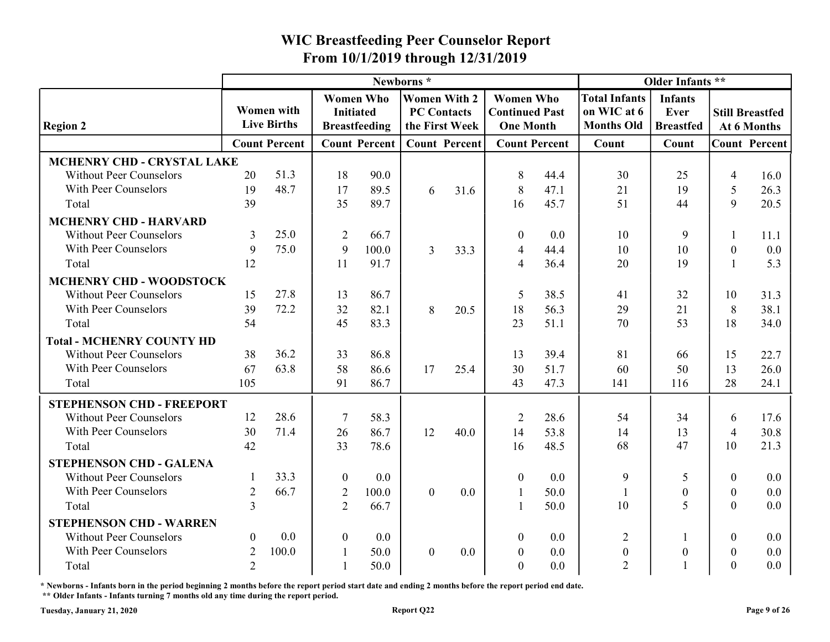|                                  |                |                                         |                  |                                          |                                                             |      | From 10/1/2019 through 12/31/2019                             |                      |                                                          |                                            |                        |             |
|----------------------------------|----------------|-----------------------------------------|------------------|------------------------------------------|-------------------------------------------------------------|------|---------------------------------------------------------------|----------------------|----------------------------------------------------------|--------------------------------------------|------------------------|-------------|
|                                  |                |                                         |                  |                                          | Newborns*                                                   |      |                                                               |                      |                                                          | Older Infants **                           |                        |             |
| <b>Region 2</b>                  |                | <b>Women with</b><br><b>Live Births</b> | <b>Initiated</b> | <b>Women Who</b><br><b>Breastfeeding</b> | <b>Women With 2</b><br><b>PC Contacts</b><br>the First Week |      | <b>Women Who</b><br><b>Continued Past</b><br><b>One Month</b> |                      | <b>Total Infants</b><br>on WIC at 6<br><b>Months Old</b> | <b>Infants</b><br>Ever<br><b>Breastfed</b> | <b>Still Breastfed</b> | At 6 Months |
|                                  |                | <b>Count Percent</b>                    |                  | <b>Count Percent</b>                     | <b>Count Percent</b>                                        |      |                                                               | <b>Count Percent</b> | Count                                                    | Count                                      | <b>Count Percent</b>   |             |
| MCHENRY CHD - CRYSTAL LAKE       |                |                                         |                  |                                          |                                                             |      |                                                               |                      |                                                          |                                            |                        |             |
| <b>Without Peer Counselors</b>   | 20             | 51.3                                    | 18               | 90.0                                     |                                                             |      | 8                                                             | 44.4                 | 30                                                       | 25                                         | $\overline{4}$         | 16.0        |
| With Peer Counselors             | 19             | 48.7                                    | 17               | 89.5                                     | 6                                                           | 31.6 | 8                                                             | 47.1                 | 21                                                       | 19                                         | 5                      | 26.3        |
| Total                            | 39             |                                         | 35               | 89.7                                     |                                                             |      | 16                                                            | 45.7                 | 51                                                       | 44                                         | 9                      | 20.5        |
| <b>MCHENRY CHD - HARVARD</b>     |                |                                         |                  |                                          |                                                             |      |                                                               |                      |                                                          |                                            |                        |             |
| <b>Without Peer Counselors</b>   | 3              | 25.0                                    | 2                | 66.7                                     |                                                             |      | $\theta$                                                      | 0.0                  | 10                                                       | Q                                          |                        | 11.1        |
| With Peer Counselors             | 9              | 75.0                                    | 9                | 100.0                                    | 3                                                           | 33.3 | $\overline{4}$                                                | 44.4                 | 10                                                       | 10                                         | $\boldsymbol{0}$       | 0.0         |
| Total                            | 12             |                                         | 11               | 91.7                                     |                                                             |      | $\overline{\mathcal{A}}$                                      | 36.4                 | 20                                                       | 19                                         |                        | 5.3         |
| <b>MCHENRY CHD - WOODSTOCK</b>   |                |                                         |                  |                                          |                                                             |      |                                                               |                      |                                                          |                                            |                        |             |
| <b>Without Peer Counselors</b>   | 15             | 27.8                                    | 13               | 86.7                                     |                                                             |      | -5                                                            | 38.5                 | 41                                                       | 32                                         | 10                     | 31.3        |
| With Peer Counselors             | 39             | 72.2                                    | 32               | 82.1                                     | 8                                                           | 20.5 | 18                                                            | 56.3                 | 29                                                       | 21                                         | 8                      | 38.1        |
| Total                            | 54             |                                         | 45               | 83.3                                     |                                                             |      | 23                                                            | 51.1                 | 70                                                       | 53                                         | 18                     | 34.0        |
| <b>Total - MCHENRY COUNTY HD</b> |                |                                         |                  |                                          |                                                             |      |                                                               |                      |                                                          |                                            |                        |             |
| <b>Without Peer Counselors</b>   | 38             | 36.2                                    | 33               | 86.8                                     |                                                             |      | 13                                                            | 39.4                 | 81                                                       | 66                                         | 15                     | 22.7        |
| With Peer Counselors             | 67             | 63.8                                    | 58               | 86.6                                     | 17                                                          | 25.4 | 30                                                            | 51.7                 | 60                                                       | 50                                         | 13                     | 26.0        |
| Total                            | 105            |                                         | 91               | 86.7                                     |                                                             |      | 43                                                            | 47.3                 | 141                                                      | 116                                        | 28                     | 24.1        |
| <b>STEPHENSON CHD - FREEPORT</b> |                |                                         |                  |                                          |                                                             |      |                                                               |                      |                                                          |                                            |                        |             |
| <b>Without Peer Counselors</b>   | 12             | 28.6                                    | 7                | 58.3                                     |                                                             |      | 2                                                             | 28.6                 | 54                                                       | 34                                         | 6                      | 17.6        |
| With Peer Counselors             | 30             | 71.4                                    | 26               | 86.7                                     | 12                                                          | 40.0 | 14                                                            | 53.8                 | 14                                                       | 13                                         | 4                      | 30.8        |
| Total                            | 42             |                                         | 33               | 78.6                                     |                                                             |      | 16                                                            | 48.5                 | 68                                                       | 47                                         | 10                     | 21.3        |
| <b>STEPHENSON CHD - GALENA</b>   |                |                                         |                  |                                          |                                                             |      |                                                               |                      |                                                          |                                            |                        |             |
| <b>Without Peer Counselors</b>   |                | 33.3                                    | $\overline{0}$   | 0.0                                      |                                                             |      | $\overline{0}$                                                | 0.0                  | 9                                                        | 5                                          | $\overline{0}$         | $0.0\,$     |
| With Peer Counselors             | 2              | 66.7                                    | $\overline{2}$   | 100.0                                    | $\overline{0}$                                              | 0.0  |                                                               | 50.0                 |                                                          | $\theta$                                   | $\boldsymbol{0}$       | $0.0\,$     |
| Total                            | 3              |                                         | $\overline{2}$   | 66.7                                     |                                                             |      |                                                               | 50.0                 | 10                                                       | $\overline{5}$                             | $\boldsymbol{0}$       | $0.0\,$     |
| <b>STEPHENSON CHD - WARREN</b>   |                |                                         |                  |                                          |                                                             |      |                                                               |                      |                                                          |                                            |                        |             |
| <b>Without Peer Counselors</b>   | $\overline{0}$ | 0.0                                     | $\boldsymbol{0}$ | 0.0                                      |                                                             |      | $\boldsymbol{0}$                                              | 0.0                  | $\overline{2}$                                           |                                            | $\boldsymbol{0}$       | $0.0\,$     |
| With Peer Counselors             | 2              | 100.0                                   |                  | 50.0                                     | $\overline{0}$                                              | 0.0  | $\overline{0}$                                                | 0.0                  | $\boldsymbol{0}$                                         |                                            | $\boldsymbol{0}$       | $0.0\,$     |
| Total                            | 2              |                                         |                  | 50.0                                     |                                                             |      | $\overline{0}$                                                | $0.0\,$              | $\overline{2}$                                           |                                            | $\Omega$               | $0.0\,$     |

\* Newborns - Infants born in the period beginning 2 months before the report period start date and ending 2 months before the report period end date. \*\* Older Infants - Infants turning 7 months old any time during the report period.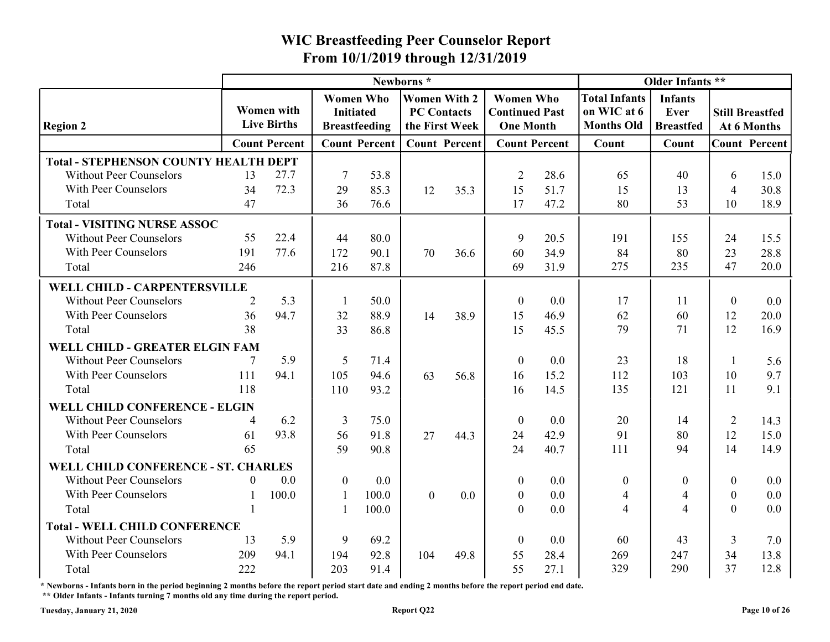|                                              |          |                                         |                                      |                      | Newborns*                                                   |      |                                                               |                      |                                                          | Older Infants **                           |                  |                                       |
|----------------------------------------------|----------|-----------------------------------------|--------------------------------------|----------------------|-------------------------------------------------------------|------|---------------------------------------------------------------|----------------------|----------------------------------------------------------|--------------------------------------------|------------------|---------------------------------------|
| <b>Region 2</b>                              |          | <b>Women with</b><br><b>Live Births</b> | <b>Women Who</b><br><b>Initiated</b> | <b>Breastfeeding</b> | <b>Women With 2</b><br><b>PC Contacts</b><br>the First Week |      | <b>Women Who</b><br><b>Continued Past</b><br><b>One Month</b> |                      | <b>Total Infants</b><br>on WIC at 6<br><b>Months Old</b> | <b>Infants</b><br>Ever<br><b>Breastfed</b> |                  | <b>Still Breastfed</b><br>At 6 Months |
|                                              |          | <b>Count Percent</b>                    |                                      | <b>Count Percent</b> | <b>Count Percent</b>                                        |      |                                                               | <b>Count Percent</b> | Count                                                    | Count                                      |                  | <b>Count Percent</b>                  |
| <b>Total - STEPHENSON COUNTY HEALTH DEPT</b> |          |                                         |                                      |                      |                                                             |      |                                                               |                      |                                                          |                                            |                  |                                       |
| <b>Without Peer Counselors</b>               | 13       | 27.7                                    | -7                                   | 53.8                 |                                                             |      | 2                                                             | 28.6                 | 65                                                       | 40                                         | 6                | 15.0                                  |
| With Peer Counselors                         | 34       | 72.3                                    | 29                                   | 85.3                 | 12                                                          | 35.3 | 15                                                            | 51.7                 | 15                                                       | 13                                         | 4                | 30.8                                  |
| Total                                        | 47       |                                         | 36                                   | 76.6                 |                                                             |      | 17                                                            | 47.2                 | 80                                                       | 53                                         | 10               | 18.9                                  |
| <b>Total - VISITING NURSE ASSOC</b>          |          |                                         |                                      |                      |                                                             |      |                                                               |                      |                                                          |                                            |                  |                                       |
| <b>Without Peer Counselors</b>               | 55       | 22.4                                    | 44                                   | 80.0                 |                                                             |      | 9                                                             | 20.5                 | 191                                                      | 155                                        | 24               | 15.5                                  |
| With Peer Counselors                         | 191      | 77.6                                    | 172                                  | 90.1                 | 70                                                          | 36.6 | 60                                                            | 34.9                 | 84                                                       | 80                                         | 23               | 28.8                                  |
| Total                                        | 246      |                                         | 216                                  | 87.8                 |                                                             |      | 69                                                            | 31.9                 | 275                                                      | 235                                        | 47               | 20.0                                  |
| WELL CHILD - CARPENTERSVILLE                 |          |                                         |                                      |                      |                                                             |      |                                                               |                      |                                                          |                                            |                  |                                       |
| <b>Without Peer Counselors</b>               | 2        | 5.3                                     |                                      | 50.0                 |                                                             |      | $\theta$                                                      | 0.0                  | 17                                                       | 11                                         | $\boldsymbol{0}$ | 0.0                                   |
| With Peer Counselors                         | 36       | 94.7                                    | 32                                   | 88.9                 | 14                                                          | 38.9 | 15                                                            | 46.9                 | 62                                                       | 60                                         | 12               | 20.0                                  |
| Total                                        | 38       |                                         | 33                                   | 86.8                 |                                                             |      | 15                                                            | 45.5                 | 79                                                       | 71                                         | 12               | 16.9                                  |
| WELL CHILD - GREATER ELGIN FAM               |          |                                         |                                      |                      |                                                             |      |                                                               |                      |                                                          |                                            |                  |                                       |
| <b>Without Peer Counselors</b>               |          | 5.9                                     | 5                                    | 71.4                 |                                                             |      | $\boldsymbol{0}$                                              | 0.0                  | 23                                                       | 18                                         |                  | 5.6                                   |
| With Peer Counselors                         | 111      | 94.1                                    | 105                                  | 94.6                 | 63                                                          | 56.8 | 16                                                            | 15.2                 | 112                                                      | 103                                        | 10               | 9.7                                   |
| Total                                        | 118      |                                         | 110                                  | 93.2                 |                                                             |      | 16                                                            | 14.5                 | 135                                                      | 121                                        | 11               | 9.1                                   |
| <b>WELL CHILD CONFERENCE - ELGIN</b>         |          |                                         |                                      |                      |                                                             |      |                                                               |                      |                                                          |                                            |                  |                                       |
| <b>Without Peer Counselors</b>               | 4        | 6.2                                     | 3                                    | 75.0                 |                                                             |      | $\theta$                                                      | 0.0                  | 20                                                       | 14                                         | 2                | 14.3                                  |
| With Peer Counselors                         | 61       | 93.8                                    | 56                                   | 91.8                 | 27                                                          | 44.3 | 24                                                            | 42.9                 | 91                                                       | 80                                         | 12               | 15.0                                  |
| Total                                        | 65       |                                         | 59                                   | 90.8                 |                                                             |      | 24                                                            | 40.7                 | 111                                                      | 94                                         | 14               | 14.9                                  |
| WELL CHILD CONFERENCE - ST. CHARLES          |          |                                         |                                      |                      |                                                             |      |                                                               |                      |                                                          |                                            |                  |                                       |
| <b>Without Peer Counselors</b>               | $\theta$ | 0.0                                     | $\overline{0}$                       | 0.0                  |                                                             |      | $\overline{0}$                                                | 0.0                  | $\boldsymbol{0}$                                         | $\theta$                                   | $\boldsymbol{0}$ | $0.0\,$                               |
| With Peer Counselors                         |          | 100.0                                   |                                      | 100.0                | $\overline{0}$                                              | 0.0  | $\mathbf{0}$                                                  | 0.0                  | 4                                                        | 4                                          | $\mathbf{0}$     | 0.0                                   |
| Total                                        |          |                                         |                                      | 100.0                |                                                             |      | $\boldsymbol{0}$                                              | 0.0                  | $\overline{4}$                                           | 4                                          | $\overline{0}$   | $0.0\,$                               |
| <b>Total - WELL CHILD CONFERENCE</b>         |          |                                         |                                      |                      |                                                             |      |                                                               |                      |                                                          |                                            |                  |                                       |
| <b>Without Peer Counselors</b>               | 13       | 5.9                                     | 9                                    | 69.2                 |                                                             |      | $\boldsymbol{0}$                                              | 0.0                  | 60                                                       | 43                                         | 3                | 7.0                                   |
| With Peer Counselors                         | 209      | 94.1                                    | 194                                  | 92.8                 | 104                                                         | 49.8 | 55                                                            | 28.4                 | 269                                                      | 247                                        | 34               | 13.8                                  |
| Total                                        | 222      |                                         | 203                                  | 91.4                 |                                                             |      | 55                                                            | 27.1                 | 329                                                      | 290                                        | 37               | 12.8                                  |

\* Newborns - Infants born in the period beginning 2 months before the report period start date and ending 2 months before the report period end date. \*\* Older Infants - Infants turning 7 months old any time during the report period.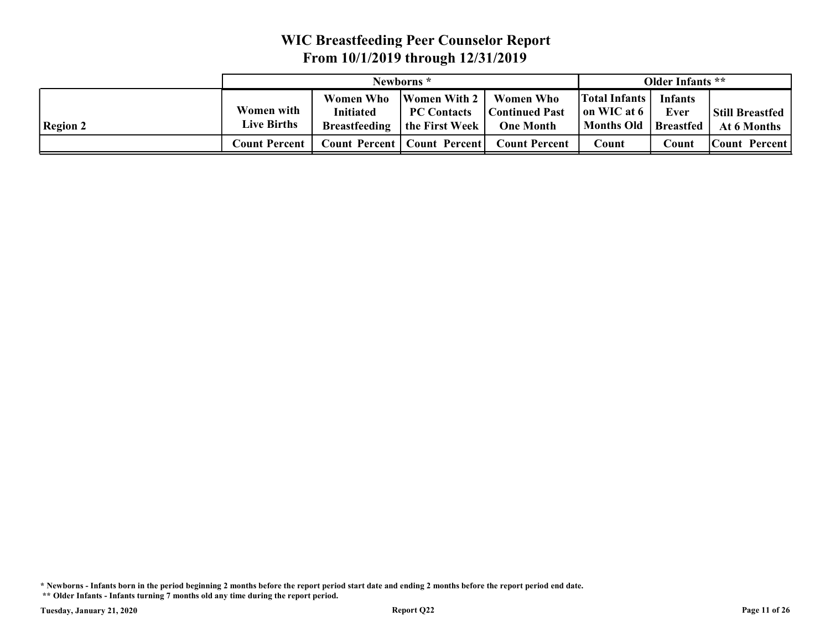|                 |                                         | <b>WIC Breastfeeding Peer Counselor Report</b>               |                                                             |                                                               |                                                          |                                            |                                       |
|-----------------|-----------------------------------------|--------------------------------------------------------------|-------------------------------------------------------------|---------------------------------------------------------------|----------------------------------------------------------|--------------------------------------------|---------------------------------------|
|                 |                                         | From 10/1/2019 through 12/31/2019                            |                                                             |                                                               |                                                          |                                            |                                       |
|                 |                                         |                                                              | Newborns*                                                   |                                                               |                                                          | Older Infants **                           |                                       |
|                 |                                         |                                                              |                                                             |                                                               |                                                          |                                            |                                       |
| <b>Region 2</b> | <b>Women with</b><br><b>Live Births</b> | <b>Women Who</b><br><b>Initiated</b><br><b>Breastfeeding</b> | <b>Women With 2</b><br><b>PC Contacts</b><br>the First Week | <b>Women Who</b><br><b>Continued Past</b><br><b>One Month</b> | <b>Total Infants</b><br>on WIC at 6<br><b>Months Old</b> | <b>Infants</b><br>Ever<br><b>Breastfed</b> | <b>Still Breastfed</b><br>At 6 Months |

\* Newborns - Infants born in the period beginning 2 months before the report period start date and ending 2 months before the report period end date.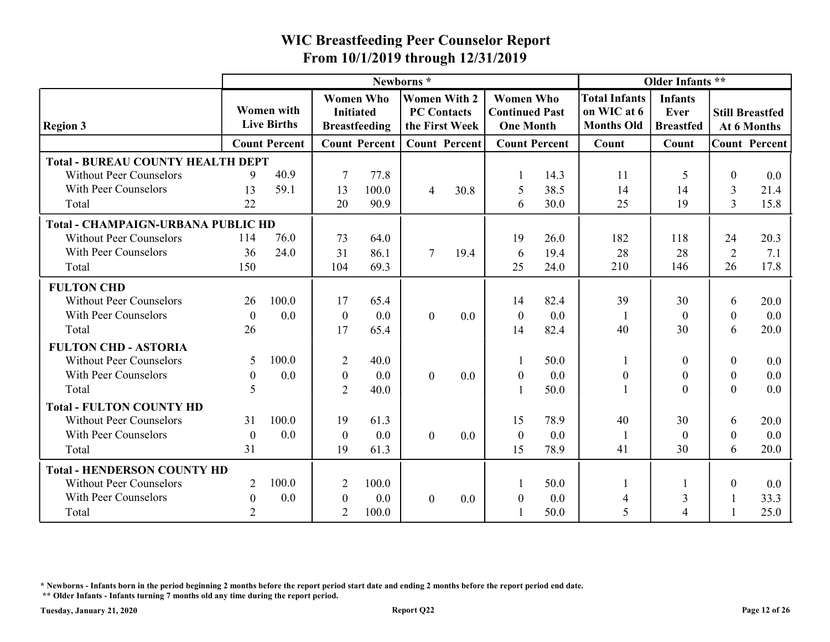|                                                                                                    |                          |                                         |                  | From 10/1/2019 through 12/31/2019        |                                                             |         | <b>WIC Breastfeeding Peer Counselor Report</b>                |                      |                                                          |                                            |                |                                       |
|----------------------------------------------------------------------------------------------------|--------------------------|-----------------------------------------|------------------|------------------------------------------|-------------------------------------------------------------|---------|---------------------------------------------------------------|----------------------|----------------------------------------------------------|--------------------------------------------|----------------|---------------------------------------|
|                                                                                                    |                          |                                         |                  |                                          | Newborns*                                                   |         |                                                               |                      |                                                          | Older Infants **                           |                |                                       |
| <b>Region 3</b>                                                                                    |                          | <b>Women with</b><br><b>Live Births</b> | <b>Initiated</b> | <b>Women Who</b><br><b>Breastfeeding</b> | <b>Women With 2</b><br><b>PC Contacts</b><br>the First Week |         | <b>Women Who</b><br><b>Continued Past</b><br><b>One Month</b> |                      | <b>Total Infants</b><br>on WIC at 6<br><b>Months Old</b> | <b>Infants</b><br>Ever<br><b>Breastfed</b> |                | <b>Still Breastfed</b><br>At 6 Months |
|                                                                                                    |                          | <b>Count Percent</b>                    |                  | <b>Count Percent</b>                     | <b>Count Percent</b>                                        |         |                                                               | <b>Count Percent</b> | Count                                                    | Count                                      |                | <b>Count Percent</b>                  |
| <b>Total - BUREAU COUNTY HEALTH DEPT</b><br><b>Without Peer Counselors</b><br>With Peer Counselors | 9<br>13                  | 40.9<br>59.1                            | -7<br>13         | 77.8<br>100.0                            | 4                                                           | 30.8    | 5                                                             | 14.3<br>38.5         | 11<br>14                                                 | 14                                         | $\theta$<br>3  | 0.0<br>21.4                           |
| Total                                                                                              | 22                       |                                         | 20               | 90.9                                     |                                                             |         | 6                                                             | 30.0                 | 25                                                       | 19                                         | $\overline{3}$ | 15.8                                  |
| <b>Total - CHAMPAIGN-URBANA PUBLIC HD</b>                                                          |                          |                                         |                  |                                          |                                                             |         |                                                               |                      |                                                          |                                            |                |                                       |
| <b>Without Peer Counselors</b><br>With Peer Counselors                                             | 114                      | 76.0<br>24.0                            | 73               | 64.0                                     | $\tau$                                                      |         | 19                                                            | 26.0                 | 182                                                      | 118                                        | 24             | 20.3                                  |
| Total                                                                                              | 36<br>150                |                                         | 31<br>104        | 86.1<br>69.3                             |                                                             | 19.4    | 6<br>25                                                       | 19.4<br>24.0         | 28<br>210                                                | 28<br>146                                  | 2<br>26        | 7.1<br>17.8                           |
| <b>FULTON CHD</b>                                                                                  |                          |                                         |                  |                                          |                                                             |         |                                                               |                      |                                                          |                                            |                |                                       |
| <b>Without Peer Counselors</b>                                                                     | 26                       | 100.0                                   | 17               | 65.4                                     |                                                             |         | 14                                                            | 82.4                 | 39                                                       | 30                                         | 6              | 20.0                                  |
| With Peer Counselors                                                                               | $\boldsymbol{0}$         | 0.0                                     | $\boldsymbol{0}$ | 0.0                                      | $\bf{0}$                                                    | 0.0     | $\boldsymbol{0}$                                              | 0.0                  |                                                          | $\Omega$                                   | $\overline{0}$ | 0.0                                   |
| Total                                                                                              | 26                       |                                         | 17               | 65.4                                     |                                                             |         | 14                                                            | 82.4                 | 40                                                       | 30                                         | 6              | 20.0                                  |
| <b>FULTON CHD - ASTORIA</b>                                                                        |                          |                                         |                  |                                          |                                                             |         |                                                               |                      |                                                          |                                            |                |                                       |
| <b>Without Peer Counselors</b>                                                                     | 5                        | 100.0                                   | $\overline{2}$   | 40.0                                     |                                                             |         |                                                               | 50.0                 |                                                          | $\boldsymbol{0}$                           | $\mathbf{0}$   | $0.0\,$                               |
| With Peer Counselors                                                                               | $\theta$                 | 0.0                                     | $\boldsymbol{0}$ | $0.0\,$                                  | $\overline{0}$                                              | 0.0     | $\theta$                                                      | 0.0                  | $\boldsymbol{0}$                                         | $\Omega$                                   | $\mathbf{0}$   | $0.0\,$                               |
| Total                                                                                              | $\overline{\mathcal{L}}$ |                                         | 2                | 40.0                                     |                                                             |         |                                                               | 50.0                 |                                                          | $\Omega$                                   | $\overline{0}$ | $0.0\,$                               |
| <b>Total - FULTON COUNTY HD</b>                                                                    |                          |                                         |                  |                                          |                                                             |         |                                                               |                      |                                                          |                                            |                |                                       |
| <b>Without Peer Counselors</b>                                                                     | 31                       | 100.0                                   | 19               | 61.3                                     |                                                             |         | 15                                                            | 78.9                 | 40                                                       | 30                                         | 6              | 20.0                                  |
| With Peer Counselors                                                                               | $\boldsymbol{0}$         | 0.0                                     | $\overline{0}$   | $0.0\,$                                  | $\overline{0}$                                              | $0.0\,$ | $\boldsymbol{0}$                                              | 0.0                  |                                                          | $\theta$                                   | $\mathbf{0}$   | 0.0                                   |
| Total                                                                                              | 31                       |                                         | 19               | 61.3                                     |                                                             |         | 15                                                            | 78.9                 | 41                                                       | 30                                         | 6              | 20.0                                  |
| <b>Total - HENDERSON COUNTY HD</b>                                                                 |                          |                                         |                  |                                          |                                                             |         |                                                               |                      |                                                          |                                            |                |                                       |
| <b>Without Peer Counselors</b>                                                                     | 2                        | 100.0                                   | 2                | 100.0                                    |                                                             |         |                                                               | 50.0                 |                                                          |                                            | $\overline{0}$ | $0.0\,$                               |
| With Peer Counselors                                                                               | $\boldsymbol{0}$         | 0.0                                     | $\boldsymbol{0}$ | 0.0                                      | $\overline{0}$                                              | $0.0\,$ | $\boldsymbol{0}$                                              | 0.0                  | $\overline{4}$                                           | 3                                          | -1             | 33.3                                  |
|                                                                                                    |                          |                                         | 2                | 100.0                                    |                                                             |         |                                                               |                      |                                                          |                                            |                |                                       |

\* Newborns - Infants born in the period beginning 2 months before the report period start date and ending 2 months before the report period end date.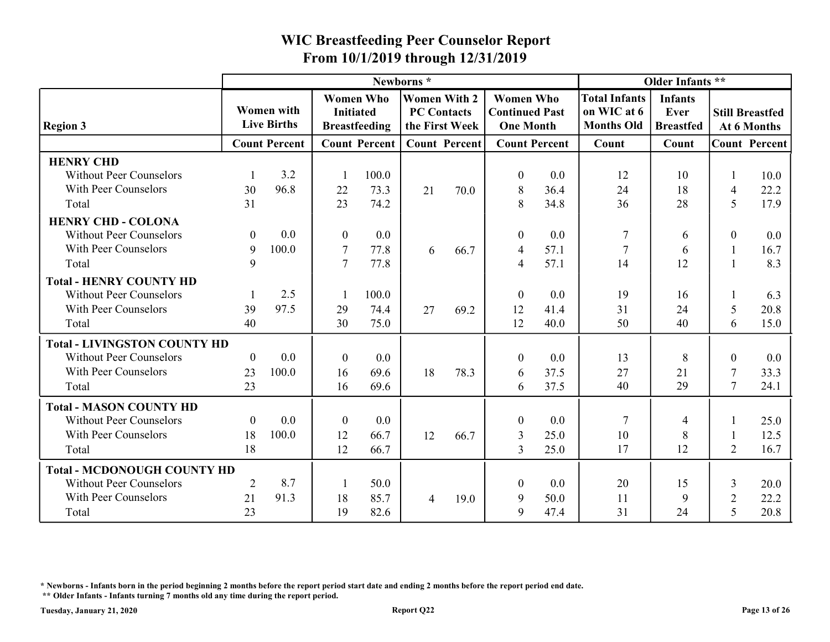|                                                                            |                      |                                  |                  |                                          | From 10/1/2019 through 12/31/2019                           |                      | <b>WIC Breastfeeding Peer Counselor Report</b>                |                      |                                                          |                                            |                    |                                       |
|----------------------------------------------------------------------------|----------------------|----------------------------------|------------------|------------------------------------------|-------------------------------------------------------------|----------------------|---------------------------------------------------------------|----------------------|----------------------------------------------------------|--------------------------------------------|--------------------|---------------------------------------|
|                                                                            |                      |                                  |                  |                                          | Newborns*                                                   |                      |                                                               |                      |                                                          | Older Infants **                           |                    |                                       |
| <b>Region 3</b>                                                            |                      | Women with<br><b>Live Births</b> | <b>Initiated</b> | <b>Women Who</b><br><b>Breastfeeding</b> | <b>Women With 2</b><br><b>PC Contacts</b><br>the First Week |                      | <b>Women Who</b><br><b>Continued Past</b><br><b>One Month</b> |                      | <b>Total Infants</b><br>on WIC at 6<br><b>Months Old</b> | <b>Infants</b><br>Ever<br><b>Breastfed</b> |                    | <b>Still Breastfed</b><br>At 6 Months |
|                                                                            |                      | <b>Count Percent</b>             |                  | <b>Count Percent</b>                     |                                                             | <b>Count Percent</b> |                                                               | <b>Count Percent</b> | Count                                                    | Count                                      |                    | <b>Count Percent</b>                  |
| <b>HENRY CHD</b><br><b>Without Peer Counselors</b><br>With Peer Counselors | 30                   | 3.2<br>96.8                      | 22               | 100.0<br>73.3                            | 21                                                          | 70.0                 | $\overline{0}$<br>8                                           | 0.0<br>36.4          | 12<br>24                                                 | 10<br>18                                   | $\overline{4}$     | 10.0<br>22.2                          |
| Total                                                                      | 31                   |                                  | 23               | 74.2                                     |                                                             |                      | 8                                                             | 34.8                 | 36                                                       | 28                                         | 5                  | 17.9                                  |
| <b>HENRY CHD - COLONA</b><br><b>Without Peer Counselors</b>                | $\boldsymbol{0}$     | $0.0\,$                          | $\theta$         | 0.0                                      |                                                             |                      |                                                               | 0.0                  | 7                                                        | 6                                          | $\mathbf{0}$       | $0.0\,$                               |
| With Peer Counselors                                                       | 9                    | 100.0                            | -7               | 77.8                                     | 6                                                           | 66.7                 | $\overline{4}$                                                | 57.1                 | $\overline{7}$                                           | 6                                          |                    | 16.7                                  |
| Total                                                                      | 9                    |                                  | -7               | 77.8                                     |                                                             |                      | $\overline{\mathcal{A}}$                                      | 57.1                 | 14                                                       | 12                                         |                    | 8.3                                   |
| <b>Total - HENRY COUNTY HD</b><br><b>Without Peer Counselors</b>           |                      | 2.5                              |                  | 100.0                                    |                                                             |                      |                                                               | 0.0                  | 19                                                       | 16                                         |                    | 6.3                                   |
| With Peer Counselors                                                       | 39                   | 97.5                             | 29               | 74.4                                     | 27                                                          | 69.2                 | 12                                                            | 41.4                 | 31                                                       | 24                                         | 5                  | 20.8                                  |
| Total                                                                      | 40                   |                                  | 30               | 75.0                                     |                                                             |                      | 12                                                            | 40.0                 | 50                                                       | 40                                         | 6                  | 15.0                                  |
| <b>Total - LIVINGSTON COUNTY HD</b>                                        |                      |                                  |                  |                                          |                                                             |                      |                                                               |                      |                                                          |                                            |                    |                                       |
| <b>Without Peer Counselors</b>                                             | $\overline{0}$       | 0.0                              | $\theta$         | $0.0\,$                                  |                                                             |                      | $\boldsymbol{0}$                                              | 0.0                  | 13                                                       | 8                                          | $\Omega$           | 0.0                                   |
| With Peer Counselors<br>Total                                              | 23<br>23             | 100.0                            | 16<br>16         | 69.6<br>69.6                             | 18                                                          | 78.3                 | 6                                                             | 37.5<br>37.5         | 27<br>40                                                 | 21<br>29                                   | 7<br>$\mathcal{I}$ | 33.3<br>24.1                          |
|                                                                            |                      |                                  |                  |                                          |                                                             |                      | 6                                                             |                      |                                                          |                                            |                    |                                       |
| <b>Total - MASON COUNTY HD</b>                                             |                      |                                  |                  |                                          |                                                             |                      |                                                               |                      |                                                          |                                            |                    |                                       |
| <b>Without Peer Counselors</b><br>With Peer Counselors                     | $\overline{0}$<br>18 | 0.0<br>100.0                     | $\theta$         | $0.0\,$                                  |                                                             |                      | $\overline{0}$                                                | 0.0                  |                                                          |                                            |                    | 25.0                                  |
| Total                                                                      | 18                   |                                  | 12<br>12         | 66.7<br>66.7                             | 12                                                          | 66.7                 | 3<br>$\mathbf{3}$                                             | 25.0<br>25.0         | 10<br>17                                                 | 8<br>12                                    | 2                  | 12.5<br>16.7                          |
|                                                                            |                      |                                  |                  |                                          |                                                             |                      |                                                               |                      |                                                          |                                            |                    |                                       |
| <b>Total - MCDONOUGH COUNTY HD</b>                                         | 2                    | 8.7                              |                  | 50.0                                     |                                                             |                      | $\overline{0}$                                                | 0.0                  | 20                                                       |                                            |                    |                                       |
|                                                                            |                      |                                  |                  |                                          |                                                             |                      |                                                               |                      |                                                          |                                            |                    |                                       |
| <b>Without Peer Counselors</b><br>With Peer Counselors                     | 21                   | 91.3                             | 18               | 85.7                                     | $\overline{4}$                                              | 19.0                 | 9                                                             | 50.0                 | 11                                                       | 15<br>9                                    | 3<br>2             | 20.0<br>22.2                          |

\* Newborns - Infants born in the period beginning 2 months before the report period start date and ending 2 months before the report period end date.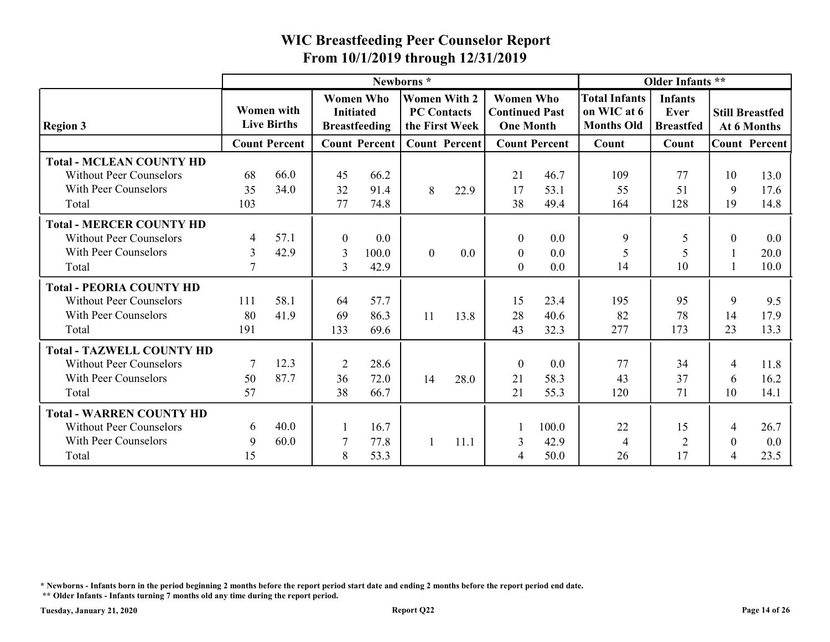|                                  |                 |                                         |                  |                                          | From 10/1/2019 through 12/31/2019                           |      |                                                               |                      |                                                          |                                            |                  |                                       |
|----------------------------------|-----------------|-----------------------------------------|------------------|------------------------------------------|-------------------------------------------------------------|------|---------------------------------------------------------------|----------------------|----------------------------------------------------------|--------------------------------------------|------------------|---------------------------------------|
|                                  |                 |                                         |                  |                                          | Newborns*                                                   |      |                                                               |                      |                                                          | Older Infants **                           |                  |                                       |
| <b>Region 3</b>                  |                 | <b>Women with</b><br><b>Live Births</b> | <b>Initiated</b> | <b>Women Who</b><br><b>Breastfeeding</b> | <b>Women With 2</b><br><b>PC Contacts</b><br>the First Week |      | <b>Women Who</b><br><b>Continued Past</b><br><b>One Month</b> |                      | <b>Total Infants</b><br>on WIC at 6<br><b>Months Old</b> | <b>Infants</b><br>Ever<br><b>Breastfed</b> |                  | <b>Still Breastfed</b><br>At 6 Months |
|                                  |                 | <b>Count Percent</b>                    |                  | <b>Count Percent</b>                     | <b>Count Percent</b>                                        |      |                                                               | <b>Count Percent</b> | Count                                                    | Count                                      |                  | <b>Count Percent</b>                  |
| <b>Total - MCLEAN COUNTY HD</b>  |                 |                                         |                  |                                          |                                                             |      |                                                               |                      |                                                          |                                            |                  |                                       |
| <b>Without Peer Counselors</b>   | 68              | 66.0                                    | 45               | 66.2                                     |                                                             |      | 21                                                            | 46.7                 | 109                                                      | 77                                         | 10               | 13.0                                  |
| With Peer Counselors             | 35              | 34.0                                    | 32               | 91.4                                     | 8                                                           | 22.9 | 17                                                            | 53.1                 | 55                                                       | 51                                         | 9                | 17.6                                  |
| Total                            | 103             |                                         | 77               | 74.8                                     |                                                             |      | 38                                                            | 49.4                 | 164                                                      | 128                                        | 19               | 14.8                                  |
| <b>Total - MERCER COUNTY HD</b>  |                 |                                         |                  |                                          |                                                             |      |                                                               |                      |                                                          |                                            |                  |                                       |
| <b>Without Peer Counselors</b>   | $\overline{4}$  | 57.1                                    | $\theta$         | 0.0                                      |                                                             |      | $\theta$                                                      | 0.0                  | 9                                                        | 5                                          | $\Omega$         | $0.0\,$                               |
| With Peer Counselors             | 3               | 42.9                                    | $\overline{3}$   | 100.0                                    | $\boldsymbol{0}$                                            | 0.0  | $\boldsymbol{0}$                                              | 0.0                  | 5                                                        | 5                                          |                  | 20.0                                  |
| Total                            | $7\phantom{.0}$ |                                         | $\overline{3}$   | 42.9                                     |                                                             |      | $\overline{0}$                                                | 0.0                  | 14                                                       | 10                                         |                  | 10.0                                  |
| <b>Total - PEORIA COUNTY HD</b>  |                 |                                         |                  |                                          |                                                             |      |                                                               |                      |                                                          |                                            |                  |                                       |
| <b>Without Peer Counselors</b>   | 111             | 58.1                                    | 64               | 57.7                                     |                                                             |      | 15                                                            | 23.4                 | 195                                                      | 95                                         | 9                | 9.5                                   |
| With Peer Counselors             | 80              | 41.9                                    | 69               | 86.3                                     | 11                                                          | 13.8 | 28                                                            | 40.6                 | 82                                                       | 78                                         | 14               | 17.9                                  |
| Total                            | 191             |                                         | 133              | 69.6                                     |                                                             |      | 43                                                            | 32.3                 | 277                                                      | 173                                        | 23               | 13.3                                  |
| <b>Total - TAZWELL COUNTY HD</b> |                 |                                         |                  |                                          |                                                             |      |                                                               |                      |                                                          |                                            |                  |                                       |
| <b>Without Peer Counselors</b>   |                 | 12.3                                    | 2                | 28.6                                     |                                                             |      | $\overline{0}$                                                | 0.0                  | 77                                                       | 34                                         | $\overline{4}$   | 11.8                                  |
| With Peer Counselors             | 50              | 87.7                                    | 36               | 72.0                                     | 14                                                          | 28.0 | 21                                                            | 58.3                 | 43                                                       | 37                                         | 6                | 16.2                                  |
| Total                            | 57              |                                         | 38               | 66.7                                     |                                                             |      | 21                                                            | 55.3                 | 120                                                      | 71                                         | 10               | 14.1                                  |
| <b>Total - WARREN COUNTY HD</b>  |                 |                                         |                  |                                          |                                                             |      |                                                               |                      |                                                          |                                            |                  |                                       |
| <b>Without Peer Counselors</b>   | 6               | 40.0                                    |                  | 16.7                                     |                                                             |      |                                                               | 100.0                | 22                                                       | 15                                         | 4                | 26.7                                  |
| With Peer Counselors             | 9               | 60.0                                    | 7                | 77.8                                     |                                                             | 11.1 | $\overline{3}$                                                | 42.9                 | $\overline{4}$                                           | 2                                          | $\boldsymbol{0}$ | $0.0\,$                               |
|                                  |                 |                                         | 8                | 53.3                                     |                                                             |      | $\overline{4}$                                                | 50.0                 | 26                                                       | 17                                         | $\overline{4}$   | 23.5                                  |

\* Newborns - Infants born in the period beginning 2 months before the report period start date and ending 2 months before the report period end date.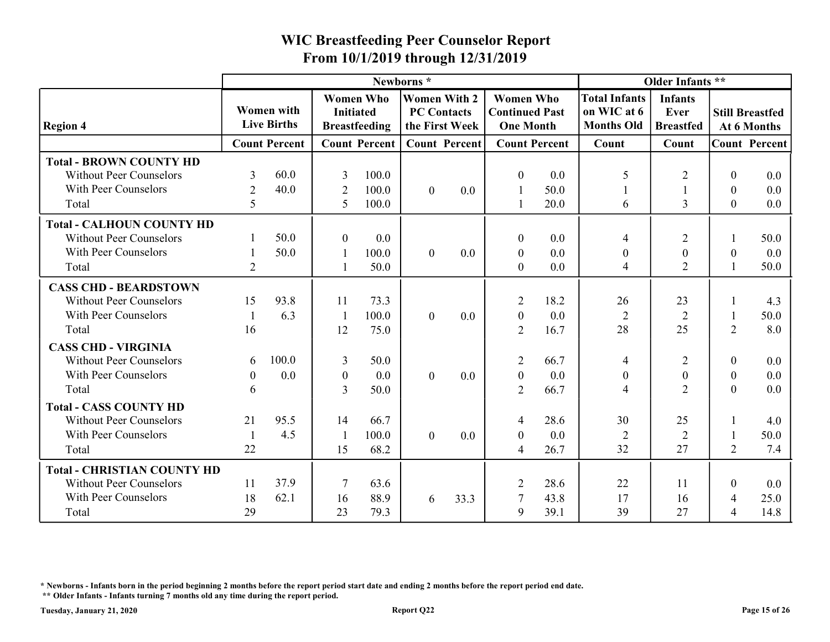|                                                                                          |                  |                                         |                     | From 10/1/2019 through 12/31/2019                            |                                                             |         | <b>WIC Breastfeeding Peer Counselor Report</b>                |                      |                                                          |                                            |                              |                                       |
|------------------------------------------------------------------------------------------|------------------|-----------------------------------------|---------------------|--------------------------------------------------------------|-------------------------------------------------------------|---------|---------------------------------------------------------------|----------------------|----------------------------------------------------------|--------------------------------------------|------------------------------|---------------------------------------|
|                                                                                          |                  |                                         |                     |                                                              | Newborns*                                                   |         |                                                               |                      |                                                          | Older Infants **                           |                              |                                       |
| <b>Region 4</b>                                                                          |                  | <b>Women</b> with<br><b>Live Births</b> |                     | <b>Women Who</b><br><b>Initiated</b><br><b>Breastfeeding</b> | <b>Women With 2</b><br><b>PC Contacts</b><br>the First Week |         | <b>Women Who</b><br><b>Continued Past</b><br><b>One Month</b> |                      | <b>Total Infants</b><br>on WIC at 6<br><b>Months Old</b> | <b>Infants</b><br>Ever<br><b>Breastfed</b> |                              | <b>Still Breastfed</b><br>At 6 Months |
|                                                                                          |                  | <b>Count Percent</b>                    |                     | <b>Count Percent</b>                                         | <b>Count Percent</b>                                        |         |                                                               | <b>Count Percent</b> | Count                                                    | Count                                      |                              | <b>Count Percent</b>                  |
| <b>Total - BROWN COUNTY HD</b><br><b>Without Peer Counselors</b><br>With Peer Counselors | 3<br>2           | 60.0<br>40.0                            | 3<br>$\overline{2}$ | 100.0<br>100.0                                               | $\overline{0}$                                              | 0.0     | $\theta$                                                      | 0.0<br>50.0          | 5                                                        | 2                                          | $\theta$<br>$\boldsymbol{0}$ | $0.0\,$<br>$0.0\,$                    |
| Total                                                                                    | 5                |                                         | 5                   | 100.0                                                        |                                                             |         |                                                               | 20.0                 | 6                                                        | $\mathcal{E}$                              | $\overline{0}$               | $0.0\,$                               |
| <b>Total - CALHOUN COUNTY HD</b>                                                         |                  |                                         |                     |                                                              |                                                             |         |                                                               |                      |                                                          |                                            |                              |                                       |
| <b>Without Peer Counselors</b>                                                           |                  | 50.0                                    | $\theta$            | 0.0                                                          |                                                             |         | $\boldsymbol{0}$                                              | 0.0                  | $\overline{4}$                                           | 2                                          |                              | 50.0                                  |
| With Peer Counselors<br>Total                                                            | $\overline{2}$   | 50.0                                    |                     | 100.0<br>50.0                                                | $\overline{0}$                                              | 0.0     | $\boldsymbol{0}$<br>$\overline{0}$                            | 0.0<br>0.0           | $\boldsymbol{0}$<br>$\overline{4}$                       | $\boldsymbol{0}$<br>2                      | $\boldsymbol{0}$             | 0.0<br>50.0                           |
| <b>CASS CHD - BEARDSTOWN</b>                                                             |                  |                                         |                     |                                                              |                                                             |         |                                                               |                      |                                                          |                                            |                              |                                       |
| <b>Without Peer Counselors</b>                                                           | 15               | 93.8                                    | 11                  | 73.3                                                         |                                                             |         | 2                                                             | 18.2                 | 26                                                       | 23                                         |                              | 4.3                                   |
| With Peer Counselors<br>Total                                                            | 16               | 6.3                                     | - 1<br>12           | 100.0<br>75.0                                                | $\overline{0}$                                              | 0.0     | $\boldsymbol{0}$<br>$\overline{2}$                            | 0.0<br>16.7          | 2<br>28                                                  | $\overline{2}$<br>25                       | 2                            | 50.0<br>8.0                           |
| <b>CASS CHD - VIRGINIA</b>                                                               |                  |                                         |                     |                                                              |                                                             |         |                                                               |                      |                                                          |                                            |                              |                                       |
| <b>Without Peer Counselors</b>                                                           | 6                | 100.0                                   | $\overline{3}$      | 50.0                                                         |                                                             |         | 2                                                             | 66.7                 | $\overline{4}$                                           | $\overline{2}$                             | $\overline{0}$               | $0.0\,$                               |
| With Peer Counselors                                                                     | $\boldsymbol{0}$ | 0.0                                     | $\boldsymbol{0}$    | 0.0                                                          | $\overline{0}$                                              | $0.0\,$ | $\boldsymbol{0}$                                              | 0.0                  | $\boldsymbol{0}$                                         | $\theta$                                   | $\boldsymbol{0}$             | $0.0\,$                               |
| Total                                                                                    | 6                |                                         | 3                   | 50.0                                                         |                                                             |         | 2                                                             | 66.7                 | $\boldsymbol{\varDelta}$                                 | $\overline{2}$                             | $\mathbf{0}$                 | $0.0\,$                               |
| <b>Total - CASS COUNTY HD</b>                                                            |                  |                                         |                     |                                                              |                                                             |         |                                                               |                      |                                                          |                                            |                              |                                       |
| <b>Without Peer Counselors</b>                                                           | 21               | 95.5                                    | 14                  | 66.7                                                         |                                                             |         | $\overline{4}$                                                | 28.6                 | 30                                                       | 25                                         |                              | 4.0                                   |
| With Peer Counselors                                                                     |                  | 4.5                                     |                     | 100.0                                                        | $\overline{0}$                                              | $0.0\,$ | $\boldsymbol{0}$                                              | 0.0                  | $\overline{2}$                                           | $\overline{2}$                             |                              | 50.0                                  |
| Total                                                                                    | 22               |                                         | 15                  | 68.2                                                         |                                                             |         | $\overline{4}$                                                | 26.7                 | 32                                                       | 27                                         | 2                            | 7.4                                   |
| <b>Total - CHRISTIAN COUNTY HD</b>                                                       |                  |                                         |                     |                                                              |                                                             |         |                                                               |                      |                                                          |                                            |                              |                                       |
| <b>Without Peer Counselors</b>                                                           | 11               | 37.9                                    | -7                  | 63.6                                                         |                                                             |         | 2                                                             | 28.6                 | 22                                                       | <sup>11</sup>                              | $\theta$                     | $0.0\,$                               |
| With Peer Counselors                                                                     | 18               | 62.1                                    | 16                  | 88.9                                                         | 6                                                           | 33.3    | 7                                                             | 43.8                 | 17                                                       | 16                                         | $\overline{4}$               | 25.0                                  |
| Total                                                                                    | 29               |                                         | 23                  | 79.3                                                         |                                                             |         | 9                                                             | 39.1                 | 39                                                       | 27                                         | 4                            | 14.8                                  |

\* Newborns - Infants born in the period beginning 2 months before the report period start date and ending 2 months before the report period end date.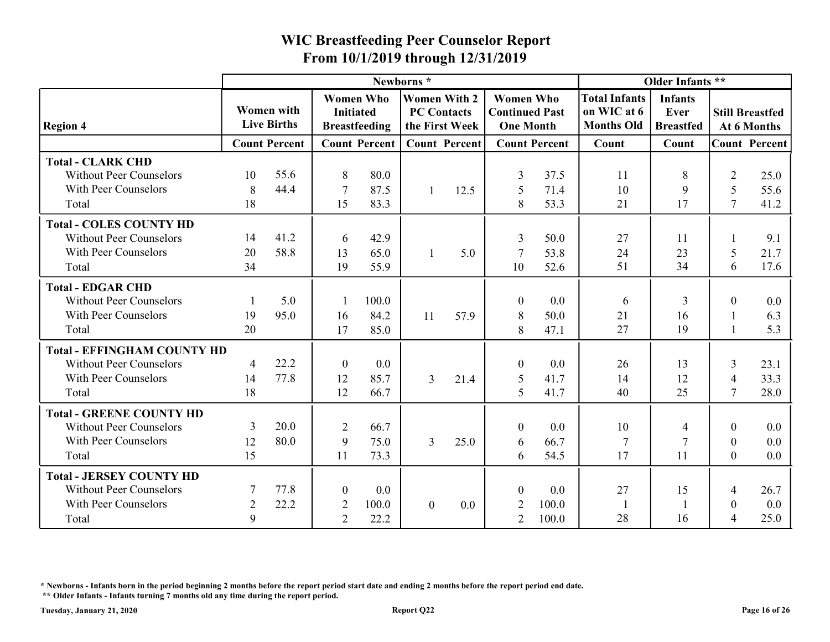|                                                                                                    |                                  |                                         | From 10/1/2019 through 12/31/2019    |                         |                                                             |                      | <b>WIC Breastfeeding Peer Counselor Report</b>                |                       |                                                          |                                            |                                         |                         |
|----------------------------------------------------------------------------------------------------|----------------------------------|-----------------------------------------|--------------------------------------|-------------------------|-------------------------------------------------------------|----------------------|---------------------------------------------------------------|-----------------------|----------------------------------------------------------|--------------------------------------------|-----------------------------------------|-------------------------|
|                                                                                                    |                                  |                                         |                                      |                         | Newborns*                                                   |                      |                                                               |                       |                                                          | Older Infants **                           |                                         |                         |
| <b>Region 4</b>                                                                                    |                                  | <b>Women</b> with<br><b>Live Births</b> | <b>Women Who</b><br><b>Initiated</b> | <b>Breastfeeding</b>    | <b>Women With 2</b><br><b>PC Contacts</b><br>the First Week |                      | <b>Women Who</b><br><b>Continued Past</b><br><b>One Month</b> |                       | <b>Total Infants</b><br>on WIC at 6<br><b>Months Old</b> | <b>Infants</b><br>Ever<br><b>Breastfed</b> | <b>Still Breastfed</b>                  | At 6 Months             |
|                                                                                                    |                                  | <b>Count Percent</b>                    |                                      | <b>Count Percent</b>    |                                                             | <b>Count Percent</b> |                                                               | <b>Count Percent</b>  | Count                                                    | Count                                      | <b>Count Percent</b>                    |                         |
| <b>Total - CLARK CHD</b><br><b>Without Peer Counselors</b><br>With Peer Counselors<br>Total        | 10<br>8<br>18                    | 55.6<br>44.4                            | 8<br>7<br>15                         | 80.0<br>87.5            |                                                             | 12.5                 | 3<br>5                                                        | 37.5<br>71.4<br>53.3  | 11<br>10<br>21                                           | 8<br>-9<br>17                              | $\overline{2}$<br>5<br>$\tau$           | 25.0<br>55.6<br>41.2    |
|                                                                                                    |                                  |                                         |                                      | 83.3                    |                                                             |                      | 8                                                             |                       |                                                          |                                            |                                         |                         |
| <b>Total - COLES COUNTY HD</b><br><b>Without Peer Counselors</b><br>With Peer Counselors<br>Total  | 14<br>20<br>34                   | 41.2<br>58.8                            | -6<br>13<br>19                       | 42.9<br>65.0<br>55.9    |                                                             | 5.0                  | 3<br>-7<br>10                                                 | 50.0<br>53.8<br>52.6  | 27<br>24<br>51                                           | <sup>11</sup><br>23<br>34                  | 5<br>6                                  | 9.1<br>21.7<br>17.6     |
|                                                                                                    |                                  |                                         |                                      |                         |                                                             |                      |                                                               |                       |                                                          |                                            |                                         |                         |
| <b>Total - EDGAR CHD</b><br><b>Without Peer Counselors</b><br>With Peer Counselors<br>Total        | 19<br>20                         | 5.0<br>95.0                             | 16<br>17                             | 100.0<br>84.2<br>85.0   | 11                                                          | 57.9                 | $\overline{0}$<br>8<br>8                                      | 0.0<br>50.0<br>47.1   | 6<br>21<br>27                                            | 3<br>16<br>19                              | $\overline{0}$                          | $0.0\,$<br>6.3<br>5.3   |
| <b>Total - EFFINGHAM COUNTY HD</b>                                                                 |                                  |                                         |                                      |                         |                                                             |                      |                                                               |                       |                                                          |                                            |                                         |                         |
| <b>Without Peer Counselors</b><br>With Peer Counselors<br>Total                                    | $\overline{4}$<br>14<br>18       | 22.2<br>77.8                            | $\overline{0}$<br>12<br>12           | $0.0\,$<br>85.7<br>66.7 | $\mathfrak{Z}$                                              | 21.4                 | $\boldsymbol{0}$<br>$\mathfrak{S}$<br>$5\overline{)}$         | 0.0<br>41.7<br>41.7   | 26<br>14<br>40                                           | 13<br>12<br>25                             | 3<br>$\overline{4}$<br>$\overline{7}$   | 23.1<br>33.3<br>28.0    |
| <b>Total - GREENE COUNTY HD</b>                                                                    |                                  |                                         |                                      |                         |                                                             |                      |                                                               |                       |                                                          |                                            |                                         |                         |
| <b>Without Peer Counselors</b><br>With Peer Counselors                                             | 3<br>12                          | 20.0<br>80.0                            | $\overline{2}$<br>9                  | 66.7<br>75.0            | $\mathfrak{Z}$                                              | 25.0                 | $\boldsymbol{0}$<br>6                                         | 0.0<br>66.7           | 10<br>-7                                                 |                                            | $\mathbf{0}$<br>$\overline{0}$          | $0.0\,$<br>$0.0\,$      |
| Total                                                                                              | 15                               |                                         | 11                                   | 73.3                    |                                                             |                      | 6                                                             | 54.5                  | 17                                                       | 11                                         | $\mathbf{0}$                            | $0.0\,$                 |
| <b>Total - JERSEY COUNTY HD</b><br><b>Without Peer Counselors</b><br>With Peer Counselors<br>Total | $\overline{2}$<br>$\overline{9}$ | 77.8<br>22.2                            | $\overline{0}$<br>2<br>2             | 0.0<br>100.0<br>22.2    | $\overline{0}$                                              | $0.0\,$              | $\boldsymbol{0}$<br>2<br>2                                    | 0.0<br>100.0<br>100.0 | 27<br>-1<br>28                                           | 15<br>16                                   | $\overline{4}$<br>$\boldsymbol{0}$<br>4 | 26.7<br>$0.0\,$<br>25.0 |

\* Newborns - Infants born in the period beginning 2 months before the report period start date and ending 2 months before the report period end date.

 <sup>\*\*</sup> Older Infants - Infants turning 7 months old any time during the report period.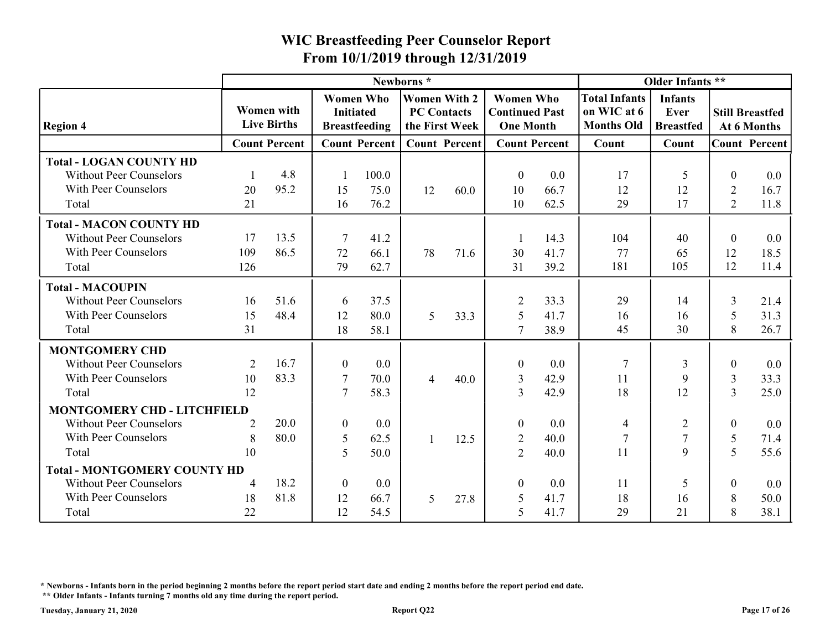|                                                                                                   |                  |                                         | From 10/1/2019 through 12/31/2019                    |                                          |                                                             |                      | <b>WIC Breastfeeding Peer Counselor Report</b>                |                      |                                                          |                                            |                                    |                                       |
|---------------------------------------------------------------------------------------------------|------------------|-----------------------------------------|------------------------------------------------------|------------------------------------------|-------------------------------------------------------------|----------------------|---------------------------------------------------------------|----------------------|----------------------------------------------------------|--------------------------------------------|------------------------------------|---------------------------------------|
|                                                                                                   |                  |                                         |                                                      |                                          | Newborns*                                                   |                      |                                                               |                      |                                                          | Older Infants **                           |                                    |                                       |
| <b>Region 4</b>                                                                                   |                  | <b>Women</b> with<br><b>Live Births</b> | <b>Initiated</b>                                     | <b>Women Who</b><br><b>Breastfeeding</b> | <b>Women With 2</b><br><b>PC Contacts</b><br>the First Week |                      | <b>Women Who</b><br><b>Continued Past</b><br><b>One Month</b> |                      | <b>Total Infants</b><br>on WIC at 6<br><b>Months Old</b> | <b>Infants</b><br>Ever<br><b>Breastfed</b> |                                    | <b>Still Breastfed</b><br>At 6 Months |
|                                                                                                   |                  | <b>Count Percent</b>                    |                                                      | <b>Count Percent</b>                     |                                                             | <b>Count Percent</b> |                                                               | <b>Count Percent</b> | Count                                                    | Count                                      |                                    | <b>Count Percent</b>                  |
| <b>Total - LOGAN COUNTY HD</b><br><b>Without Peer Counselors</b><br>With Peer Counselors          | 20               | 4.8<br>95.2                             | 15                                                   | 100.0<br>75.0                            | 12                                                          | 60.0                 | $\boldsymbol{0}$<br>10                                        | 0.0<br>66.7          | 17<br>12                                                 | -5<br>12                                   | $\boldsymbol{0}$<br>$\overline{2}$ | 0.0<br>16.7                           |
| Total                                                                                             | 21               |                                         | 16                                                   | 76.2                                     |                                                             |                      | 10                                                            | 62.5                 | 29                                                       | 17                                         | $\overline{2}$                     | 11.8                                  |
| <b>Total - MACON COUNTY HD</b><br><b>Without Peer Counselors</b><br>With Peer Counselors<br>Total | 17<br>109<br>126 | 13.5<br>86.5                            | -7<br>72<br>79                                       | 41.2<br>66.1<br>62.7                     | 78                                                          | 71.6                 | 30<br>31                                                      | 14.3<br>41.7<br>39.2 | 104<br>77<br>181                                         | 40<br>65<br>105                            | $\boldsymbol{0}$<br>12<br>12       | 0.0<br>18.5<br>11.4                   |
| <b>Total - MACOUPIN</b>                                                                           |                  |                                         |                                                      |                                          |                                                             |                      |                                                               |                      |                                                          |                                            |                                    |                                       |
| <b>Without Peer Counselors</b><br>With Peer Counselors<br>Total                                   | 16<br>15<br>31   | 51.6<br>48.4                            | 6<br>12<br>18                                        | 37.5<br>80.0<br>58.1                     | 5                                                           | 33.3                 | 2<br>-5<br>7                                                  | 33.3<br>41.7<br>38.9 | 29<br>16<br>45                                           | 14<br>16<br>30                             | 3<br>5<br>8                        | 21.4<br>31.3<br>26.7                  |
| <b>MONTGOMERY CHD</b>                                                                             |                  |                                         |                                                      |                                          |                                                             |                      |                                                               |                      |                                                          |                                            |                                    |                                       |
| <b>Without Peer Counselors</b><br>With Peer Counselors                                            | 2<br>10          | 16.7<br>83.3                            | $\boldsymbol{0}$<br>$\overline{7}$<br>$\overline{7}$ | $0.0\,$<br>70.0                          | 4                                                           | 40.0                 | $\boldsymbol{0}$<br>3<br>$\overline{3}$                       | 0.0<br>42.9          | -7<br>11<br>18                                           | 3<br>$\mathbf Q$                           | $\boldsymbol{0}$<br>3              | $0.0\,$<br>33.3                       |
| Total                                                                                             | 12               |                                         |                                                      | 58.3                                     |                                                             |                      |                                                               | 42.9                 |                                                          | 12                                         | 3                                  | 25.0                                  |
| <b>MONTGOMERY CHD - LITCHFIELD</b><br><b>Without Peer Counselors</b>                              | 2                | 20.0                                    | $\boldsymbol{0}$                                     | $0.0\,$                                  |                                                             |                      | $\overline{0}$                                                | 0.0                  | $\overline{4}$                                           | $\overline{2}$                             | $\boldsymbol{0}$                   | 0.0                                   |
| With Peer Counselors                                                                              | 8                | 80.0                                    | 5                                                    | 62.5                                     |                                                             | 12.5                 | 2                                                             | 40.0                 |                                                          |                                            | 5                                  | 71.4                                  |
| Total                                                                                             | 10               |                                         | 5                                                    | 50.0                                     |                                                             |                      | $\overline{2}$                                                | 40.0                 | 11                                                       | 9                                          | 5                                  | 55.6                                  |
| <b>Total - MONTGOMERY COUNTY HD</b>                                                               |                  |                                         |                                                      |                                          |                                                             |                      |                                                               |                      |                                                          |                                            |                                    |                                       |
| <b>Without Peer Counselors</b>                                                                    | $\overline{4}$   | 18.2                                    | $\overline{0}$                                       | $0.0\,$                                  |                                                             |                      | $\Omega$                                                      | 0.0                  | 11                                                       |                                            | $\theta$                           | $0.0\,$                               |
| With Peer Counselors<br>Total                                                                     | 18<br>22         | 81.8                                    | 12<br>12                                             | 66.7<br>54.5                             | 5 <sup>5</sup>                                              | 27.8                 | 5<br>5                                                        | 41.7<br>41.7         | 18<br>29                                                 | 16<br>21                                   | 8<br>8                             | 50.0<br>38.1                          |

\* Newborns - Infants born in the period beginning 2 months before the report period start date and ending 2 months before the report period end date.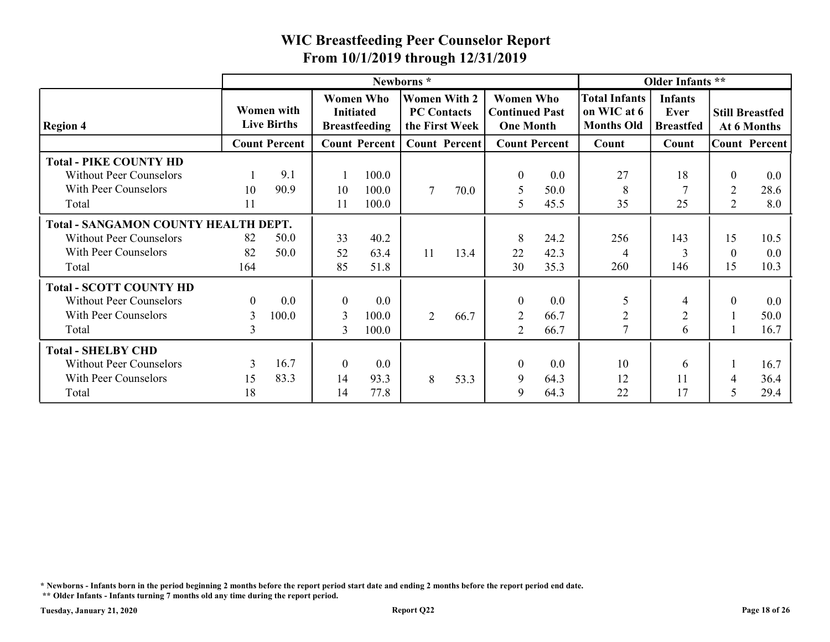|                                                                                                   |                            |                                  |                                       |                                          |                                                                          | From 10/1/2019 through 12/31/2019 |                                                               |                      |                                                          |                                                                |                                     |                         |
|---------------------------------------------------------------------------------------------------|----------------------------|----------------------------------|---------------------------------------|------------------------------------------|--------------------------------------------------------------------------|-----------------------------------|---------------------------------------------------------------|----------------------|----------------------------------------------------------|----------------------------------------------------------------|-------------------------------------|-------------------------|
| <b>Region 4</b>                                                                                   |                            | Women with<br><b>Live Births</b> | <b>Initiated</b>                      | <b>Women Who</b><br><b>Breastfeeding</b> | Newborns*<br><b>Women With 2</b><br><b>PC Contacts</b><br>the First Week |                                   | <b>Women Who</b><br><b>Continued Past</b><br><b>One Month</b> |                      | <b>Total Infants</b><br>on WIC at 6<br><b>Months Old</b> | Older Infants **<br><b>Infants</b><br>Ever<br><b>Breastfed</b> | <b>Still Breastfed</b>              | At 6 Months             |
|                                                                                                   |                            | <b>Count Percent</b>             |                                       | <b>Count Percent</b>                     |                                                                          | <b>Count Percent</b>              |                                                               | <b>Count Percent</b> | Count                                                    | Count                                                          | <b>Count Percent</b>                |                         |
| <b>Total - PIKE COUNTY HD</b><br><b>Without Peer Counselors</b><br>With Peer Counselors<br>Total  | 10<br>11                   | 9.1<br>90.9                      | 10<br>11                              | 100.0<br>100.0<br>100.0                  | $\tau$                                                                   | 70.0                              | $\boldsymbol{0}$<br>5<br>$\overline{5}$                       | 0.0<br>50.0<br>45.5  | 27<br>8<br>35                                            | 18<br>25                                                       | $\mathbf{0}$<br>$\overline{2}$<br>2 | 0.0<br>28.6<br>8.0      |
| <b>Total - SANGAMON COUNTY HEALTH DEPT.</b>                                                       |                            |                                  |                                       |                                          |                                                                          |                                   |                                                               |                      |                                                          |                                                                |                                     |                         |
| <b>Without Peer Counselors</b><br>With Peer Counselors<br>Total                                   | 82<br>82<br>164            | 50.0<br>50.0                     | 33<br>52<br>85                        | 40.2<br>63.4<br>51.8                     | 11                                                                       | 13.4                              | 8<br>22<br>30                                                 | 24.2<br>42.3<br>35.3 | 256<br>$\overline{4}$<br>260                             | 143<br>$\overline{3}$<br>146                                   | 15<br>$\boldsymbol{0}$<br>15        | 10.5<br>$0.0\,$<br>10.3 |
| <b>Total - SCOTT COUNTY HD</b><br><b>Without Peer Counselors</b><br>With Peer Counselors<br>Total | $\overline{0}$<br>3<br>3   | 0.0<br>100.0                     | $\overline{0}$<br>$\overline{3}$<br>3 | 0.0<br>100.0<br>100.0                    | $\overline{2}$                                                           | 66.7                              | $\boldsymbol{0}$<br>$\overline{2}$<br>2                       | 0.0<br>66.7<br>66.7  | 5<br>$\overline{2}$<br>$\overline{7}$                    | $\overline{4}$<br>$\overline{c}$<br>6                          | $\theta$<br>$\mathbf{1}$            | 0.0<br>50.0<br>16.7     |
| <b>Total - SHELBY CHD</b><br><b>Without Peer Counselors</b><br>With Peer Counselors<br>Total      | $\overline{3}$<br>15<br>18 | 16.7<br>83.3                     | $\bf{0}$<br>14<br>14                  | 0.0<br>93.3<br>77.8                      | 8                                                                        | 53.3                              | $\Omega$<br>9<br>$\mathbf Q$                                  | 0.0<br>64.3<br>64.3  | 10<br>12<br>22                                           | 6<br>11<br>17                                                  | -1<br>$\overline{4}$<br>5           | 16.7<br>36.4<br>29.4    |

\* Newborns - Infants born in the period beginning 2 months before the report period start date and ending 2 months before the report period end date.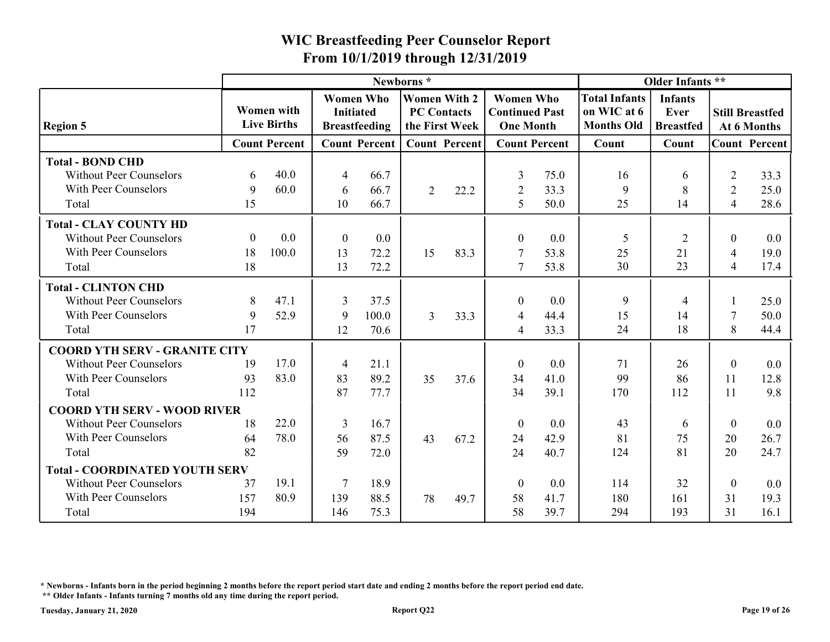|                                                                                                  |                              |                                         | <b>WIC Breastfeeding Peer Counselor Report</b><br>From 10/1/2019 through 12/31/2019 |                       |                                                             |                      |                                                               |                      |                                                          |                                            |                                                    |                                       |
|--------------------------------------------------------------------------------------------------|------------------------------|-----------------------------------------|-------------------------------------------------------------------------------------|-----------------------|-------------------------------------------------------------|----------------------|---------------------------------------------------------------|----------------------|----------------------------------------------------------|--------------------------------------------|----------------------------------------------------|---------------------------------------|
|                                                                                                  |                              |                                         |                                                                                     |                       | Newborns*                                                   |                      |                                                               |                      |                                                          | Older Infants **                           |                                                    |                                       |
| <b>Region 5</b>                                                                                  |                              | <b>Women with</b><br><b>Live Births</b> | <b>Women Who</b><br><b>Initiated</b>                                                | <b>Breastfeeding</b>  | <b>Women With 2</b><br><b>PC Contacts</b><br>the First Week |                      | <b>Women Who</b><br><b>Continued Past</b><br><b>One Month</b> |                      | <b>Total Infants</b><br>on WIC at 6<br><b>Months Old</b> | <b>Infants</b><br>Ever<br><b>Breastfed</b> |                                                    | <b>Still Breastfed</b><br>At 6 Months |
|                                                                                                  |                              | <b>Count Percent</b>                    |                                                                                     | <b>Count Percent</b>  |                                                             | <b>Count Percent</b> |                                                               | <b>Count Percent</b> | Count                                                    | Count                                      |                                                    | <b>Count Percent</b>                  |
| <b>Total - BOND CHD</b><br><b>Without Peer Counselors</b><br>With Peer Counselors                | 6<br>9                       | 40.0<br>60.0                            | -4<br>-6                                                                            | 66.7<br>66.7          | $\overline{2}$                                              | 22.2                 | 3<br>2                                                        | 75.0<br>33.3         | 16<br>9<br>25                                            | 6<br>8                                     | $\overline{2}$<br>$\overline{2}$<br>$\overline{4}$ | 33.3<br>25.0<br>28.6                  |
| Total                                                                                            | 15                           |                                         | 10                                                                                  | 66.7                  |                                                             |                      | 5                                                             | 50.0                 |                                                          | 14                                         |                                                    |                                       |
| <b>Total - CLAY COUNTY HD</b><br><b>Without Peer Counselors</b><br>With Peer Counselors<br>Total | $\boldsymbol{0}$<br>18<br>18 | 0.0<br>100.0                            | $\boldsymbol{0}$<br>13<br>13                                                        | 0.0<br>72.2<br>72.2   | 15                                                          | 83.3                 | $\overline{0}$<br>7<br>$\overline{7}$                         | 0.0<br>53.8<br>53.8  | 5<br>25<br>30                                            | 2<br>21<br>23                              | $\theta$<br>$\overline{4}$<br>$\overline{4}$       | $0.0\,$<br>19.0<br>17.4               |
| <b>Total - CLINTON CHD</b>                                                                       |                              |                                         |                                                                                     |                       |                                                             |                      |                                                               |                      |                                                          |                                            |                                                    |                                       |
| <b>Without Peer Counselors</b><br>With Peer Counselors<br>Total                                  | 8<br>9<br>17                 | 47.1<br>52.9                            | 3<br>9<br>12                                                                        | 37.5<br>100.0<br>70.6 | 3                                                           | 33.3                 | $\theta$<br>4<br>$\overline{4}$                               | 0.0<br>44.4<br>33.3  | 9<br>15<br>24                                            | 14<br>18                                   | 8                                                  | 25.0<br>50.0<br>44.4                  |
| <b>COORD YTH SERV - GRANITE CITY</b>                                                             |                              |                                         |                                                                                     |                       |                                                             |                      |                                                               |                      |                                                          |                                            |                                                    |                                       |
| <b>Without Peer Counselors</b><br>With Peer Counselors<br>Total                                  | 19<br>93<br>112              | 17.0<br>83.0                            | -4<br>83<br>87                                                                      | 21.1<br>89.2<br>77.7  | 35                                                          | 37.6                 | $\boldsymbol{0}$<br>34<br>34                                  | 0.0<br>41.0<br>39.1  | 71<br>99<br>170                                          | 26<br>86<br>112                            | $\mathbf{0}$<br>11<br>-11                          | 0.0<br>12.8<br>9.8                    |
| <b>COORD YTH SERV - WOOD RIVER</b>                                                               |                              |                                         |                                                                                     |                       |                                                             |                      |                                                               |                      |                                                          |                                            |                                                    |                                       |
| <b>Without Peer Counselors</b><br>With Peer Counselors                                           | 18<br>64                     | 22.0<br>78.0                            | $\overline{3}$<br>56                                                                | 16.7<br>87.5          | 43                                                          | 67.2                 | $\boldsymbol{0}$<br>24                                        | 0.0<br>42.9          | 43<br>81                                                 | 6<br>75                                    | $\mathbf{0}$<br>20                                 | $0.0\,$<br>26.7                       |
| Total                                                                                            | 82                           |                                         | 59                                                                                  | 72.0                  |                                                             |                      | 24                                                            | 40.7                 | 124                                                      | 81                                         | 20                                                 | 24.7                                  |
| <b>Total - COORDINATED YOUTH SERV</b>                                                            |                              | 19.1                                    | -7                                                                                  |                       |                                                             |                      |                                                               |                      |                                                          |                                            |                                                    |                                       |
| <b>Without Peer Counselors</b><br>With Peer Counselors<br>Total                                  | 37<br>157<br>194             | 80.9                                    | 139<br>146                                                                          | 18.9<br>88.5<br>75.3  | 78                                                          | 49.7                 | $\boldsymbol{0}$<br>58<br>58                                  | 0.0<br>41.7<br>39.7  | 114<br>180<br>294                                        | 32<br>161<br>193                           | $\theta$<br>31<br>31                               | 0.0<br>19.3<br>16.1                   |

\* Newborns - Infants born in the period beginning 2 months before the report period start date and ending 2 months before the report period end date.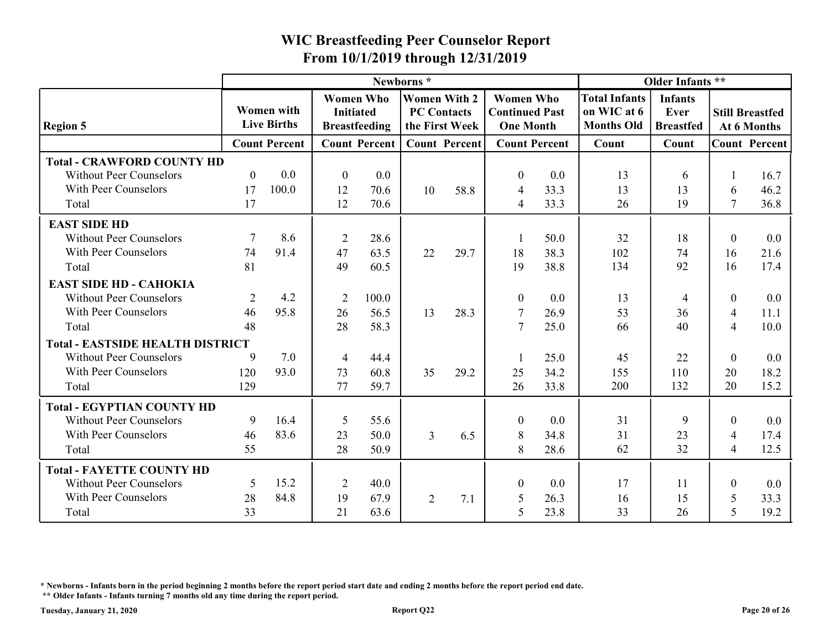|                                                                                             |                      |                                         |                  |                                          | From 10/1/2019 through 12/31/2019                           |      | <b>WIC Breastfeeding Peer Counselor Report</b>                |                      |                                                          |                                            |                        |                      |
|---------------------------------------------------------------------------------------------|----------------------|-----------------------------------------|------------------|------------------------------------------|-------------------------------------------------------------|------|---------------------------------------------------------------|----------------------|----------------------------------------------------------|--------------------------------------------|------------------------|----------------------|
|                                                                                             |                      |                                         |                  |                                          | Newborns*                                                   |      |                                                               |                      |                                                          | Older Infants **                           |                        |                      |
| <b>Region 5</b>                                                                             |                      | <b>Women with</b><br><b>Live Births</b> | <b>Initiated</b> | <b>Women Who</b><br><b>Breastfeeding</b> | <b>Women With 2</b><br><b>PC Contacts</b><br>the First Week |      | <b>Women Who</b><br><b>Continued Past</b><br><b>One Month</b> |                      | <b>Total Infants</b><br>on WIC at 6<br><b>Months Old</b> | <b>Infants</b><br>Ever<br><b>Breastfed</b> | <b>Still Breastfed</b> | At 6 Months          |
|                                                                                             |                      | <b>Count Percent</b>                    |                  | <b>Count Percent</b>                     | <b>Count Percent</b>                                        |      |                                                               | <b>Count Percent</b> | Count                                                    | Count                                      |                        | <b>Count Percent</b> |
| <b>Total - CRAWFORD COUNTY HD</b><br><b>Without Peer Counselors</b><br>With Peer Counselors | $\overline{0}$<br>17 | 0.0<br>100.0                            | $\theta$<br>12   | 0.0<br>70.6                              | 10                                                          | 58.8 | $\theta$<br>$\overline{4}$                                    | 0.0<br>33.3          | 13<br>13                                                 | 6<br>13                                    | 6                      | 16.7<br>46.2         |
| Total                                                                                       | 17                   |                                         | 12               | 70.6                                     |                                                             |      | $\overline{4}$                                                | 33.3                 | 26                                                       | 19                                         | $\tau$                 | 36.8                 |
| <b>EAST SIDE HD</b>                                                                         |                      |                                         |                  |                                          |                                                             |      |                                                               |                      |                                                          |                                            |                        |                      |
| <b>Without Peer Counselors</b>                                                              |                      | 8.6                                     | 2                | 28.6                                     |                                                             |      |                                                               | 50.0                 | 32                                                       | 18                                         | $\mathbf{0}$           | $0.0\,$              |
| With Peer Counselors<br>Total                                                               | 74<br>81             | 91.4                                    | 47<br>49         | 63.5<br>60.5                             | 22                                                          | 29.7 | 18<br>19                                                      | 38.3<br>38.8         | 102<br>134                                               | 74<br>92                                   | 16<br>16               | 21.6<br>17.4         |
| <b>EAST SIDE HD - CAHOKIA</b>                                                               |                      |                                         |                  |                                          |                                                             |      |                                                               |                      |                                                          |                                            |                        |                      |
| <b>Without Peer Counselors</b>                                                              | $\overline{2}$       | 4.2                                     | $\overline{2}$   | 100.0                                    |                                                             |      | $\theta$                                                      | 0.0                  | 13                                                       |                                            | $\mathbf{0}$           | $0.0\,$              |
| With Peer Counselors                                                                        | 46                   | 95.8                                    | 26               | 56.5                                     | 13                                                          | 28.3 | 7                                                             | 26.9                 | 53                                                       | 36                                         | 4                      | 11.1                 |
| Total                                                                                       | 48                   |                                         | 28               | 58.3                                     |                                                             |      | 7                                                             | 25.0                 | 66                                                       | 40                                         | $\overline{4}$         | 10.0                 |
| <b>Total - EASTSIDE HEALTH DISTRICT</b>                                                     |                      |                                         |                  |                                          |                                                             |      |                                                               |                      |                                                          |                                            |                        |                      |
| <b>Without Peer Counselors</b>                                                              | 9                    | 7.0                                     | $\overline{4}$   | 44.4                                     |                                                             |      |                                                               | 25.0                 | 45                                                       | 22                                         | $\mathbf{0}$           | 0.0                  |
| With Peer Counselors                                                                        | 120                  | 93.0                                    | 73               | 60.8                                     | 35                                                          | 29.2 | 25                                                            | 34.2                 | 155                                                      | 110                                        | 20                     | 18.2                 |
| Total                                                                                       | 129                  |                                         | 77               | 59.7                                     |                                                             |      | 26                                                            | 33.8                 | 200                                                      | 132                                        | 20                     | 15.2                 |
| <b>Total - EGYPTIAN COUNTY HD</b>                                                           |                      |                                         |                  |                                          |                                                             |      |                                                               |                      |                                                          |                                            |                        |                      |
| <b>Without Peer Counselors</b>                                                              | 9                    | 16.4                                    | 5                | 55.6                                     |                                                             |      | $\boldsymbol{0}$                                              | 0.0                  | 31                                                       | Q                                          | $\theta$               | 0.0                  |
| With Peer Counselors                                                                        | 46                   | 83.6                                    | 23               | 50.0                                     | $\mathfrak{Z}$                                              | 6.5  | 8                                                             | 34.8                 | 31                                                       | 23                                         | 4                      | 17.4                 |
| Total                                                                                       | 55                   |                                         | 28               | 50.9                                     |                                                             |      | 8                                                             | 28.6                 | 62                                                       | 32                                         | $\overline{4}$         | 12.5                 |
| <b>Total - FAYETTE COUNTY HD</b>                                                            |                      |                                         |                  |                                          |                                                             |      |                                                               |                      |                                                          |                                            |                        |                      |
| <b>Without Peer Counselors</b>                                                              | 5                    | 15.2                                    | 2                | 40.0                                     |                                                             |      | $\boldsymbol{0}$                                              | 0.0                  | 17                                                       | <sup>11</sup>                              | $\theta$               | $0.0\,$              |
|                                                                                             |                      |                                         |                  |                                          |                                                             |      |                                                               |                      |                                                          |                                            |                        |                      |
| With Peer Counselors                                                                        | 28                   | 84.8                                    | 19               | 67.9                                     | $\overline{2}$                                              | 7.1  | 5                                                             | 26.3                 | 16                                                       | 15                                         | 5                      | 33.3                 |

\* Newborns - Infants born in the period beginning 2 months before the report period start date and ending 2 months before the report period end date.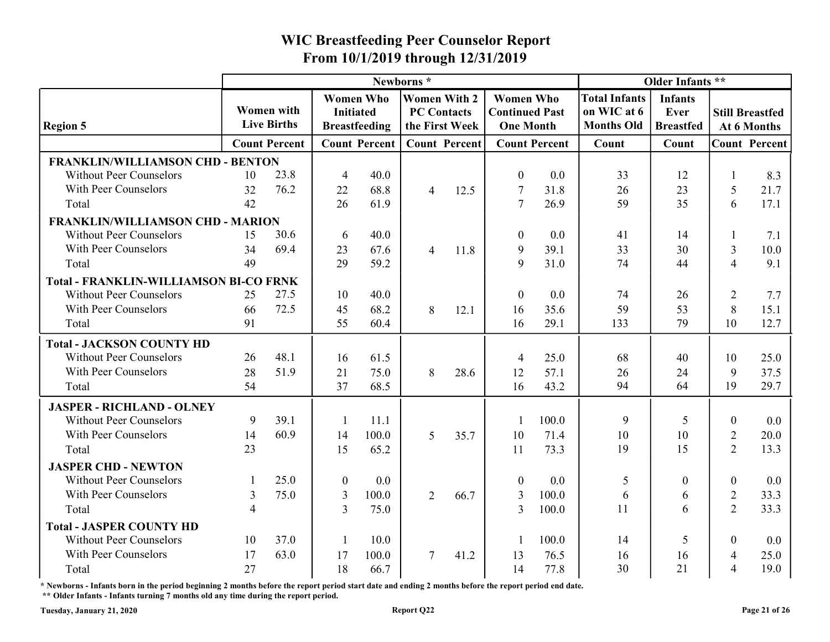|                                                                    |    |                                         |                                      |                      | Newborns*                                 |                      |                                                               |                      |                                                          | Older Infants **                           |                          |                                       |
|--------------------------------------------------------------------|----|-----------------------------------------|--------------------------------------|----------------------|-------------------------------------------|----------------------|---------------------------------------------------------------|----------------------|----------------------------------------------------------|--------------------------------------------|--------------------------|---------------------------------------|
| <b>Region 5</b>                                                    |    | <b>Women</b> with<br><b>Live Births</b> | <b>Women Who</b><br><b>Initiated</b> | <b>Breastfeeding</b> | <b>Women With 2</b><br><b>PC Contacts</b> | the First Week       | <b>Women Who</b><br><b>Continued Past</b><br><b>One Month</b> |                      | <b>Total Infants</b><br>on WIC at 6<br><b>Months Old</b> | <b>Infants</b><br>Ever<br><b>Breastfed</b> |                          | <b>Still Breastfed</b><br>At 6 Months |
|                                                                    |    | <b>Count Percent</b>                    |                                      | <b>Count Percent</b> |                                           | <b>Count Percent</b> |                                                               | <b>Count Percent</b> | Count                                                    | Count                                      |                          | <b>Count Percent</b>                  |
| <b>FRANKLIN/WILLIAMSON CHD - BENTON</b>                            |    |                                         |                                      |                      |                                           |                      |                                                               |                      |                                                          |                                            |                          |                                       |
| <b>Without Peer Counselors</b>                                     | 10 | 23.8                                    | -4                                   | 40.0                 |                                           |                      | $\theta$                                                      | 0.0                  | 33                                                       | 12                                         |                          | 8.3                                   |
| With Peer Counselors                                               | 32 | 76.2                                    | 22                                   | 68.8                 | $\overline{4}$                            | 12.5                 | -7                                                            | 31.8                 | 26                                                       | 23                                         | 5                        | 21.7                                  |
| Total                                                              | 42 |                                         | 26                                   | 61.9                 |                                           |                      |                                                               | 26.9                 | 59                                                       | 35                                         | 6                        | 17.1                                  |
| FRANKLIN/WILLIAMSON CHD - MARION                                   |    |                                         |                                      |                      |                                           |                      |                                                               |                      |                                                          |                                            |                          |                                       |
| <b>Without Peer Counselors</b>                                     | 15 | 30.6                                    | -6                                   | 40.0                 |                                           |                      |                                                               | 0.0                  | 41                                                       | 14                                         |                          | 7.1                                   |
| With Peer Counselors                                               | 34 | 69.4                                    | 23                                   | 67.6                 | $\overline{4}$                            | 11.8                 | 9                                                             | 39.1                 | 33                                                       | 30                                         | 3                        | 10.0                                  |
| Total                                                              | 49 |                                         | 29                                   | 59.2                 |                                           |                      | 9                                                             | 31.0                 | 74                                                       | 44                                         | $\boldsymbol{\varDelta}$ | 9.1                                   |
| <b>Total - FRANKLIN-WILLIAMSON BI-CO FRNK</b>                      |    |                                         |                                      |                      |                                           |                      |                                                               |                      |                                                          |                                            |                          |                                       |
| <b>Without Peer Counselors</b>                                     | 25 | 27.5                                    | 10                                   | 40.0                 |                                           |                      |                                                               | 0.0                  | 74                                                       | 26                                         | 2                        | 7.7                                   |
| With Peer Counselors                                               | 66 | 72.5                                    | 45                                   | 68.2                 | 8                                         | 12.1                 | 16                                                            | 35.6                 | 59                                                       | 53                                         | 8                        | 15.1                                  |
| Total                                                              | 91 |                                         | 55                                   | 60.4                 |                                           |                      | 16                                                            | 29.1                 | 133                                                      | 79                                         | 10                       | 12.7                                  |
| <b>Total - JACKSON COUNTY HD</b>                                   |    |                                         |                                      |                      |                                           |                      |                                                               |                      |                                                          |                                            |                          |                                       |
| <b>Without Peer Counselors</b>                                     | 26 | 48.1                                    | 16                                   | 61.5                 |                                           |                      | $\overline{4}$                                                | 25.0                 | 68                                                       | 40                                         | 10                       | 25.0                                  |
| With Peer Counselors                                               | 28 | 51.9                                    | 21                                   | 75.0                 | 8                                         | 28.6                 | 12                                                            | 57.1                 | 26                                                       | 24                                         | 9                        | 37.5                                  |
| Total                                                              | 54 |                                         | 37                                   | 68.5                 |                                           |                      | 16                                                            | 43.2                 | 94                                                       | 64                                         | 19                       | 29.7                                  |
|                                                                    |    |                                         |                                      |                      |                                           |                      |                                                               |                      |                                                          |                                            |                          |                                       |
| <b>JASPER - RICHLAND - OLNEY</b><br><b>Without Peer Counselors</b> | 9  | 39.1                                    |                                      | 11.1                 |                                           |                      |                                                               | 100.0                | 9                                                        |                                            | $\Omega$                 | 0.0                                   |
| With Peer Counselors                                               | 14 | 60.9                                    | 14                                   | 100.0                | 5 <sup>5</sup>                            |                      | 10                                                            | 71.4                 | 10                                                       | 10                                         |                          | 20.0                                  |
| Total                                                              | 23 |                                         | 15                                   | 65.2                 |                                           | 35.7                 | 11                                                            | 73.3                 | 19                                                       | 15                                         | $\overline{2}$<br>2      | 13.3                                  |
|                                                                    |    |                                         |                                      |                      |                                           |                      |                                                               |                      |                                                          |                                            |                          |                                       |
| <b>JASPER CHD - NEWTON</b>                                         |    | 25.0                                    |                                      |                      |                                           |                      |                                                               |                      |                                                          |                                            |                          |                                       |
| <b>Without Peer Counselors</b>                                     |    |                                         | $\bf{0}$                             | $0.0\,$              |                                           |                      | $\overline{0}$                                                | 0.0                  | 5                                                        | $\theta$                                   | $\mathbf{0}$             | $0.0\,$                               |
| With Peer Counselors                                               | 3  | 75.0                                    | 3                                    | 100.0                | $\overline{2}$                            | 66.7                 | 3                                                             | 100.0                | 6<br>11                                                  | 6                                          | $\overline{2}$<br>2      | 33.3                                  |
| Total                                                              |    |                                         | $\overline{3}$                       | 75.0                 |                                           |                      | $\overline{3}$                                                | 100.0                |                                                          | 6                                          |                          | 33.3                                  |
| <b>Total - JASPER COUNTY HD</b>                                    |    |                                         |                                      |                      |                                           |                      |                                                               |                      |                                                          |                                            |                          |                                       |
| <b>Without Peer Counselors</b>                                     | 10 | 37.0                                    |                                      | 10.0                 |                                           |                      |                                                               | 100.0                | 14                                                       |                                            | $\theta$                 | $0.0\,$                               |
| With Peer Counselors                                               | 17 | 63.0                                    | 17                                   | 100.0                | $\tau$                                    | 41.2                 | 13                                                            | 76.5                 | 16                                                       | 16                                         | $\overline{4}$           | 25.0                                  |
| Total                                                              | 27 |                                         | 18                                   | 66.7                 |                                           |                      | 14                                                            | 77.8                 | 30                                                       | 21                                         | $\overline{4}$           | 19.0                                  |

\* Newborns - Infants born in the period beginning 2 months before the report period start date and ending 2 months before the report period end date. \*\* Older Infants - Infants turning 7 months old any time during the report period.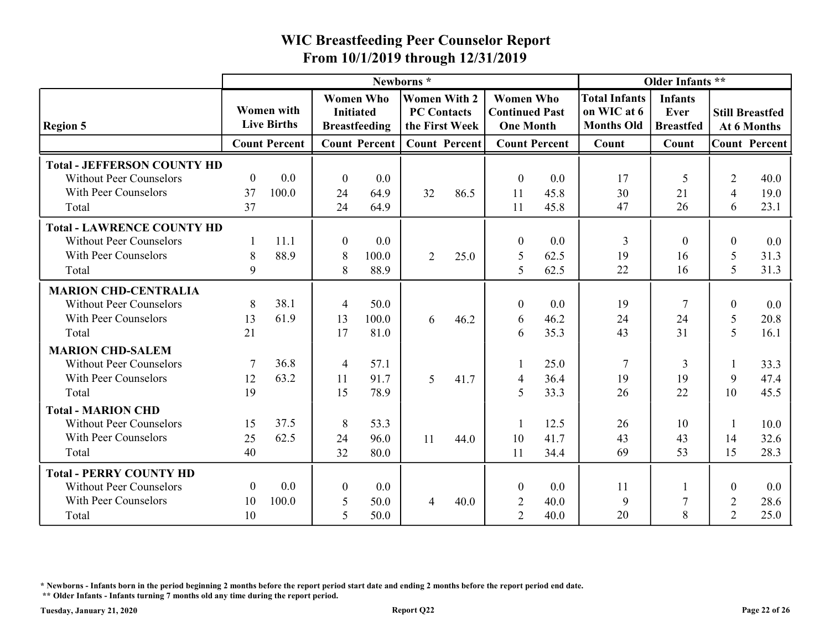|                                                                                                       |                              |                                         | From 10/1/2019 through 12/31/2019 |                                          |                                                             |      | <b>WIC Breastfeeding Peer Counselor Report</b>                |                      |                                                          |                                            |                                  |                                       |
|-------------------------------------------------------------------------------------------------------|------------------------------|-----------------------------------------|-----------------------------------|------------------------------------------|-------------------------------------------------------------|------|---------------------------------------------------------------|----------------------|----------------------------------------------------------|--------------------------------------------|----------------------------------|---------------------------------------|
|                                                                                                       |                              |                                         |                                   |                                          | Newborns*                                                   |      |                                                               |                      |                                                          | Older Infants **                           |                                  |                                       |
| <b>Region 5</b>                                                                                       |                              | <b>Women</b> with<br><b>Live Births</b> | <b>Initiated</b>                  | <b>Women Who</b><br><b>Breastfeeding</b> | <b>Women With 2</b><br><b>PC Contacts</b><br>the First Week |      | <b>Women Who</b><br><b>Continued Past</b><br><b>One Month</b> |                      | <b>Total Infants</b><br>on WIC at 6<br><b>Months Old</b> | <b>Infants</b><br>Ever<br><b>Breastfed</b> |                                  | <b>Still Breastfed</b><br>At 6 Months |
|                                                                                                       |                              | <b>Count Percent</b>                    |                                   | <b>Count Percent</b>                     | <b>Count Percent</b>                                        |      |                                                               | <b>Count Percent</b> | Count                                                    | Count                                      |                                  | <b>Count Percent</b>                  |
| <b>Total - JEFFERSON COUNTY HD</b><br><b>Without Peer Counselors</b><br>With Peer Counselors<br>Total | $\boldsymbol{0}$<br>37<br>37 | 0.0<br>100.0                            | $\boldsymbol{0}$<br>24<br>24      | 0.0<br>64.9<br>64.9                      | 32                                                          | 86.5 | $\boldsymbol{0}$<br>11                                        | 0.0<br>45.8          | 17<br>30<br>47                                           | 5<br>21<br>26                              | $\overline{2}$<br>4<br>6         | 40.0<br>19.0<br>23.1                  |
|                                                                                                       |                              |                                         |                                   |                                          |                                                             |      | 11                                                            | 45.8                 |                                                          |                                            |                                  |                                       |
| <b>Total - LAWRENCE COUNTY HD</b><br><b>Without Peer Counselors</b><br>With Peer Counselors<br>Total  | 8<br>9                       | 11.1<br>88.9                            | $\boldsymbol{0}$<br>8<br>8        | 0.0<br>100.0<br>88.9                     | $\overline{2}$                                              | 25.0 | $\theta$<br>-5<br>5                                           | 0.0<br>62.5<br>62.5  | 3<br>19<br>22                                            | $\theta$<br>16<br>16                       | $\boldsymbol{0}$<br>5<br>5       | 0.0<br>31.3<br>31.3                   |
| <b>MARION CHD-CENTRALIA</b>                                                                           |                              |                                         |                                   |                                          |                                                             |      |                                                               |                      |                                                          |                                            |                                  |                                       |
| <b>Without Peer Counselors</b><br>With Peer Counselors<br>Total                                       | 8<br>13<br>21                | 38.1<br>61.9                            | $\overline{4}$<br>13<br>17        | 50.0<br>100.0<br>81.0                    | 6                                                           | 46.2 | $\Omega$<br>$\mathsf{h}$<br>6                                 | 0.0<br>46.2<br>35.3  | 19<br>24<br>43                                           | $\tau$<br>24<br>31                         | $\boldsymbol{0}$<br>5<br>5       | 0.0<br>20.8<br>16.1                   |
| <b>MARION CHD-SALEM</b><br><b>Without Peer Counselors</b><br>With Peer Counselors                     | 12                           | 36.8<br>63.2                            | $\overline{4}$<br>11              | 57.1<br>91.7                             | 5 <sup>5</sup>                                              | 41.7 | $\overline{4}$                                                | 25.0<br>36.4         | 7<br>19                                                  | 3<br>19                                    | 9                                | 33.3<br>47.4                          |
| Total                                                                                                 | 19                           |                                         | 15                                | 78.9                                     |                                                             |      | 5                                                             | 33.3                 | 26                                                       | 22                                         | 10                               | 45.5                                  |
| <b>Total - MARION CHD</b><br><b>Without Peer Counselors</b><br>With Peer Counselors<br>Total          | 15<br>25<br>40               | 37.5<br>62.5                            | 8<br>24<br>32                     | 53.3<br>96.0<br>80.0                     | 11                                                          | 44.0 | 10<br>11                                                      | 12.5<br>41.7<br>34.4 | 26<br>43<br>69                                           | 10<br>43<br>53                             | 14<br>15                         | 10.0<br>32.6<br>28.3                  |
| <b>Total - PERRY COUNTY HD</b><br><b>Without Peer Counselors</b>                                      | $\boldsymbol{0}$             | 0.0                                     | $\boldsymbol{0}$                  | 0.0                                      |                                                             |      | $\boldsymbol{0}$                                              | 0.0                  | <sup>11</sup>                                            |                                            | $\boldsymbol{0}$                 | 0.0                                   |
| With Peer Counselors<br>Total                                                                         | 10<br>10                     | 100.0                                   | 5<br>$\overline{5}$               | 50.0<br>50.0                             | $\overline{4}$                                              | 40.0 | $\overline{2}$<br>2                                           | 40.0<br>40.0         | 9<br>20                                                  | 8                                          | $\overline{2}$<br>$\overline{2}$ | 28.6<br>25.0                          |

\* Newborns - Infants born in the period beginning 2 months before the report period start date and ending 2 months before the report period end date.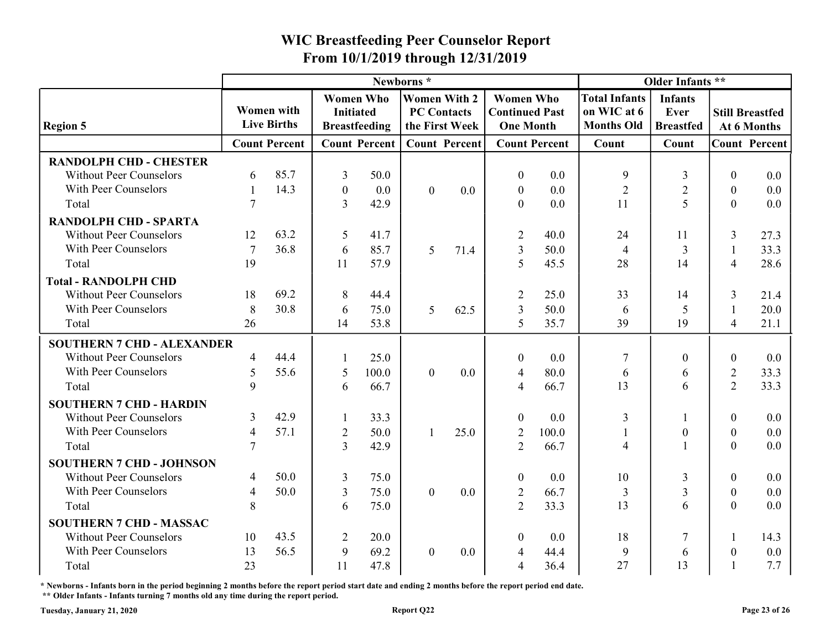|                                                                   |                  |                                  |                                      |                      |                                                             |         | From 10/1/2019 through 12/31/2019                             |                      |                                                          |                                            |                                |                                       |
|-------------------------------------------------------------------|------------------|----------------------------------|--------------------------------------|----------------------|-------------------------------------------------------------|---------|---------------------------------------------------------------|----------------------|----------------------------------------------------------|--------------------------------------------|--------------------------------|---------------------------------------|
|                                                                   |                  |                                  |                                      |                      | Newborns*                                                   |         |                                                               |                      |                                                          | Older Infants **                           |                                |                                       |
| <b>Region 5</b>                                                   |                  | Women with<br><b>Live Births</b> | <b>Women Who</b><br><b>Initiated</b> | <b>Breastfeeding</b> | <b>Women With 2</b><br><b>PC Contacts</b><br>the First Week |         | <b>Women Who</b><br><b>Continued Past</b><br><b>One Month</b> |                      | <b>Total Infants</b><br>on WIC at 6<br><b>Months Old</b> | <b>Infants</b><br>Ever<br><b>Breastfed</b> |                                | <b>Still Breastfed</b><br>At 6 Months |
|                                                                   |                  | <b>Count Percent</b>             |                                      | <b>Count Percent</b> | <b>Count Percent</b>                                        |         |                                                               | <b>Count Percent</b> | Count                                                    | Count                                      |                                | <b>Count Percent</b>                  |
| <b>RANDOLPH CHD - CHESTER</b>                                     |                  |                                  |                                      |                      |                                                             |         |                                                               |                      |                                                          |                                            |                                |                                       |
| <b>Without Peer Counselors</b>                                    | 6                | 85.7                             | 3                                    | 50.0                 |                                                             |         | $\boldsymbol{0}$                                              | 0.0                  | -9                                                       | 3                                          | $\Omega$                       | 0.0                                   |
| With Peer Counselors                                              |                  | 14.3                             | $\boldsymbol{0}$                     | 0.0                  | $\overline{0}$                                              | 0.0     | $\boldsymbol{0}$                                              | 0.0                  | $\overline{2}$                                           | $\overline{2}$                             | $\boldsymbol{0}$               | $0.0\,$                               |
| Total                                                             |                  |                                  | $\overline{3}$                       | 42.9                 |                                                             |         | $\overline{0}$                                                | 0.0                  | 11                                                       | $\overline{\mathcal{L}}$                   | $\overline{0}$                 | 0.0                                   |
| <b>RANDOLPH CHD - SPARTA</b>                                      |                  |                                  |                                      |                      |                                                             |         |                                                               |                      |                                                          |                                            |                                |                                       |
| <b>Without Peer Counselors</b>                                    | 12               | 63.2                             | 5                                    | 41.7                 |                                                             |         | $\overline{2}$                                                | 40.0                 | 24                                                       | 11                                         | 3                              | 27.3                                  |
| With Peer Counselors                                              | 7                | 36.8                             | 6                                    | 85.7                 | 5                                                           | 71.4    | 3                                                             | 50.0                 | 4                                                        |                                            | $\overline{4}$                 | 33.3                                  |
| Total                                                             | 19               |                                  | 11                                   | 57.9                 |                                                             |         | $\overline{\mathcal{L}}$                                      | 45.5                 | 28                                                       | 14                                         |                                | 28.6                                  |
| <b>Total - RANDOLPH CHD</b>                                       |                  |                                  |                                      |                      |                                                             |         |                                                               |                      |                                                          |                                            |                                |                                       |
| <b>Without Peer Counselors</b><br>With Peer Counselors            | 18               | 69.2<br>30.8                     | 8                                    | 44.4                 |                                                             |         |                                                               | 25.0                 | 33                                                       | 14                                         | 3                              | 21.4                                  |
| Total                                                             | 8<br>26          |                                  | 6<br>14                              | 75.0<br>53.8         | 5                                                           | 62.5    | 3<br>5                                                        | 50.0<br>35.7         | 6<br>39                                                  | 19                                         | $\overline{4}$                 | 20.0<br>21.1                          |
|                                                                   |                  |                                  |                                      |                      |                                                             |         |                                                               |                      |                                                          |                                            |                                |                                       |
| <b>SOUTHERN 7 CHD - ALEXANDER</b>                                 |                  |                                  |                                      |                      |                                                             |         |                                                               |                      |                                                          |                                            |                                |                                       |
| <b>Without Peer Counselors</b>                                    | $\overline{4}$   | 44.4                             |                                      | 25.0                 |                                                             |         | $\boldsymbol{0}$                                              | 0.0                  | -7                                                       | $\theta$                                   | $\boldsymbol{0}$               | 0.0                                   |
| With Peer Counselors<br>Total                                     | 5<br>$\mathbf Q$ | 55.6                             | 5<br>6                               | 100.0<br>66.7        | $\overline{0}$                                              | $0.0\,$ | $\overline{4}$<br>$\overline{4}$                              | 80.0<br>66.7         | 6<br>13                                                  | 6<br>6                                     | 2<br>$\overline{2}$            | 33.3<br>33.3                          |
|                                                                   |                  |                                  |                                      |                      |                                                             |         |                                                               |                      |                                                          |                                            |                                |                                       |
| <b>SOUTHERN 7 CHD - HARDIN</b><br><b>Without Peer Counselors</b>  | 3                | 42.9                             |                                      | 33.3                 |                                                             |         |                                                               | 0.0                  |                                                          |                                            | $\boldsymbol{0}$               |                                       |
| With Peer Counselors                                              | $\overline{4}$   | 57.1                             |                                      | 50.0                 |                                                             |         | $\boldsymbol{0}$                                              | 100.0                | $\mathfrak{Z}$                                           | $\theta$                                   |                                | 0.0<br>0.0                            |
| Total                                                             |                  |                                  | 2<br>3                               | 42.9                 |                                                             | 25.0    | 2<br>$\overline{2}$                                           | 66.7                 | $\overline{4}$                                           |                                            | $\mathbf{0}$<br>$\overline{0}$ | $0.0\,$                               |
|                                                                   |                  |                                  |                                      |                      |                                                             |         |                                                               |                      |                                                          |                                            |                                |                                       |
| <b>SOUTHERN 7 CHD - JOHNSON</b><br><b>Without Peer Counselors</b> | 4                | 50.0                             | 3                                    | 75.0                 |                                                             |         | $\boldsymbol{0}$                                              | 0.0                  | 10                                                       | 3                                          | $\mathbf{0}$                   | 0.0                                   |
| With Peer Counselors                                              | 4                | 50.0                             | $\overline{3}$                       | 75.0                 | $\overline{0}$                                              | 0.0     | 2                                                             | 66.7                 | 3                                                        | 3                                          | $\mathbf{0}$                   | $0.0\,$                               |
| Total                                                             | 8                |                                  | 6                                    | 75.0                 |                                                             |         | 2                                                             | 33.3                 | 13                                                       | 6                                          | $\mathbf{0}$                   | 0.0                                   |
|                                                                   |                  |                                  |                                      |                      |                                                             |         |                                                               |                      |                                                          |                                            |                                |                                       |
| <b>SOUTHERN 7 CHD - MASSAC</b><br><b>Without Peer Counselors</b>  | 10               | 43.5                             | $\overline{2}$                       | 20.0                 |                                                             |         | $\boldsymbol{0}$                                              | 0.0                  | 18                                                       |                                            |                                |                                       |
| With Peer Counselors                                              | 13               | 56.5                             |                                      |                      |                                                             |         |                                                               |                      |                                                          |                                            |                                | 14.3                                  |
| Total                                                             | 23               |                                  | 9<br>11                              | 69.2<br>47.8         | $\overline{0}$                                              | 0.0     | $\overline{4}$<br>$\overline{4}$                              | 44.4                 | 9<br>27                                                  | 6<br>13                                    | $\boldsymbol{0}$               | 0.0<br>7.7                            |
|                                                                   |                  |                                  |                                      |                      |                                                             |         |                                                               | 36.4                 |                                                          |                                            |                                |                                       |

\* Newborns - Infants born in the period beginning 2 months before the report period start date and ending 2 months before the report period end date. \*\* Older Infants - Infants turning 7 months old any time during the report period.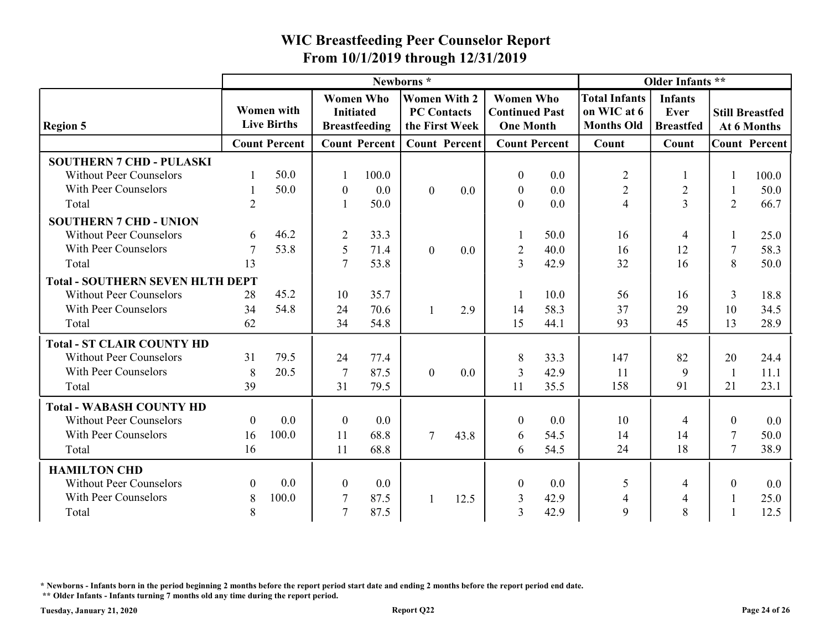|                                                                   |                  |                                  |                                  |                                          | From 10/1/2019 through 12/31/2019                           |      | <b>WIC Breastfeeding Peer Counselor Report</b>                |                      |                                                          |                                            |              |                                       |
|-------------------------------------------------------------------|------------------|----------------------------------|----------------------------------|------------------------------------------|-------------------------------------------------------------|------|---------------------------------------------------------------|----------------------|----------------------------------------------------------|--------------------------------------------|--------------|---------------------------------------|
|                                                                   |                  |                                  |                                  |                                          | Newborns*                                                   |      |                                                               |                      |                                                          | Older Infants **                           |              |                                       |
| <b>Region 5</b>                                                   |                  | Women with<br><b>Live Births</b> | <b>Initiated</b>                 | <b>Women Who</b><br><b>Breastfeeding</b> | <b>Women With 2</b><br><b>PC Contacts</b><br>the First Week |      | <b>Women Who</b><br><b>Continued Past</b><br><b>One Month</b> |                      | <b>Total Infants</b><br>on WIC at 6<br><b>Months Old</b> | <b>Infants</b><br>Ever<br><b>Breastfed</b> |              | <b>Still Breastfed</b><br>At 6 Months |
|                                                                   |                  | <b>Count Percent</b>             |                                  | <b>Count Percent</b>                     | <b>Count Percent</b>                                        |      |                                                               | <b>Count Percent</b> | Count                                                    | Count                                      |              | <b>Count Percent</b>                  |
| <b>SOUTHERN 7 CHD - PULASKI</b><br><b>Without Peer Counselors</b> |                  | 50.0                             |                                  | 100.0                                    |                                                             |      | $\boldsymbol{0}$                                              | 0.0                  | $\overline{2}$                                           |                                            |              | 100.0                                 |
| With Peer Counselors<br>Total                                     | $\overline{2}$   | 50.0                             | $\bf{0}$                         | 0.0<br>50.0                              | $\overline{0}$                                              | 0.0  | $\bf{0}$<br>$\overline{0}$                                    | 0.0<br>0.0           | $\overline{2}$<br>$\overline{4}$                         | $\overline{2}$<br>3                        | 2            | 50.0<br>66.7                          |
| <b>SOUTHERN 7 CHD - UNION</b>                                     |                  |                                  |                                  |                                          |                                                             |      |                                                               |                      |                                                          |                                            |              |                                       |
| <b>Without Peer Counselors</b>                                    | 6                | 46.2                             | $\overline{2}$                   | 33.3                                     |                                                             |      |                                                               | 50.0                 | 16                                                       |                                            |              | 25.0                                  |
| With Peer Counselors<br>Total                                     | 13               | 53.8                             | $\overline{5}$<br>$\overline{7}$ | 71.4<br>53.8                             | $\overline{0}$                                              | 0.0  | $\overline{2}$<br>3                                           | 40.0<br>42.9         | 16<br>32                                                 | 12<br>16                                   | 8            | 58.3<br>50.0                          |
| <b>Total - SOUTHERN SEVEN HLTH DEPT</b>                           |                  |                                  |                                  |                                          |                                                             |      |                                                               |                      |                                                          |                                            |              |                                       |
| <b>Without Peer Counselors</b>                                    | 28               | 45.2                             | 10                               | 35.7                                     |                                                             |      |                                                               | 10.0                 | 56                                                       | 16                                         | 3            | 18.8                                  |
| With Peer Counselors                                              | 34               | 54.8                             | 24                               | 70.6                                     |                                                             | 2.9  | 14                                                            | 58.3                 | 37                                                       | 29                                         | 10           | 34.5                                  |
| Total                                                             | 62               |                                  | 34                               | 54.8                                     |                                                             |      | 15                                                            | 44.1                 | 93                                                       | 45                                         | 13           | 28.9                                  |
| <b>Total - ST CLAIR COUNTY HD</b>                                 |                  |                                  |                                  |                                          |                                                             |      |                                                               |                      |                                                          |                                            |              |                                       |
| <b>Without Peer Counselors</b>                                    | 31               | 79.5                             | 24                               | 77.4                                     |                                                             |      | 8                                                             | 33.3                 | 147                                                      | 82                                         | 20           | 24.4                                  |
| With Peer Counselors                                              | 8                | 20.5                             | 7                                | 87.5                                     | $\overline{0}$                                              | 0.0  | 3                                                             | 42.9                 | <sup>11</sup>                                            | 9                                          | $\mathbf{1}$ | 11.1                                  |
| Total                                                             | 39               |                                  | 31                               | 79.5                                     |                                                             |      | 11                                                            | 35.5                 | 158                                                      | 91                                         | 21           | 23.1                                  |
| <b>Total - WABASH COUNTY HD</b>                                   |                  |                                  |                                  |                                          |                                                             |      |                                                               |                      |                                                          |                                            |              |                                       |
| <b>Without Peer Counselors</b>                                    | $\overline{0}$   | 0.0                              | $\overline{0}$                   | 0.0                                      |                                                             |      | $\boldsymbol{0}$                                              | 0.0                  | 10                                                       |                                            | $\theta$     | 0.0                                   |
| With Peer Counselors                                              | 16               | 100.0                            | 11                               | 68.8                                     | $\tau$                                                      | 43.8 | 6                                                             | 54.5                 | 14                                                       | 14                                         | 7            | 50.0                                  |
| Total                                                             | 16               |                                  | 11                               | 68.8                                     |                                                             |      | 6                                                             | 54.5                 | 24                                                       | 18                                         | 7            | 38.9                                  |
| <b>HAMILTON CHD</b>                                               |                  |                                  |                                  |                                          |                                                             |      |                                                               |                      |                                                          |                                            |              |                                       |
| <b>Without Peer Counselors</b>                                    | $\boldsymbol{0}$ | 0.0                              | $\overline{0}$                   | 0.0                                      |                                                             |      | $\boldsymbol{0}$                                              | 0.0                  | 5                                                        |                                            | $\mathbf{0}$ | 0.0                                   |
| With Peer Counselors                                              | 8                | 100.0                            | 7                                | 87.5                                     |                                                             | 12.5 | 3                                                             | 42.9                 | $\overline{4}$                                           | $\overline{4}$                             | -1           | 25.0                                  |
| Total                                                             | 8                |                                  | -7                               | 87.5                                     |                                                             |      | $\overline{3}$                                                | 42.9                 | 9                                                        | 8                                          |              | 12.5                                  |

\* Newborns - Infants born in the period beginning 2 months before the report period start date and ending 2 months before the report period end date.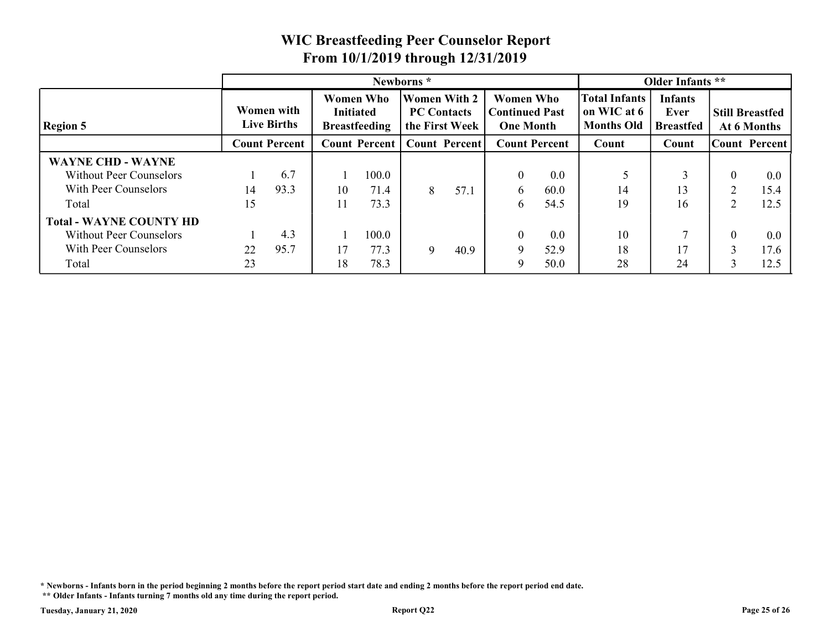|                                |    |                                         |    |                                                              |           |                                                             | <b>WIC Breastfeeding Peer Counselor Report</b> |                                                               |                                                          |                                            |                                       |                      |
|--------------------------------|----|-----------------------------------------|----|--------------------------------------------------------------|-----------|-------------------------------------------------------------|------------------------------------------------|---------------------------------------------------------------|----------------------------------------------------------|--------------------------------------------|---------------------------------------|----------------------|
|                                |    |                                         |    |                                                              |           |                                                             | From 10/1/2019 through 12/31/2019              |                                                               |                                                          |                                            |                                       |                      |
|                                |    |                                         |    |                                                              | Newborns* |                                                             |                                                |                                                               |                                                          | Older Infants **                           |                                       |                      |
| <b>Region 5</b>                |    | <b>Women with</b><br><b>Live Births</b> |    | <b>Women Who</b><br><b>Initiated</b><br><b>Breastfeeding</b> |           | <b>Women With 2</b><br><b>PC Contacts</b><br>the First Week |                                                | <b>Women Who</b><br><b>Continued Past</b><br><b>One Month</b> | <b>Total Infants</b><br>on WIC at 6<br><b>Months Old</b> | <b>Infants</b><br>Ever<br><b>Breastfed</b> | <b>Still Breastfed</b><br>At 6 Months |                      |
|                                |    | <b>Count Percent</b>                    |    | <b>Count Percent</b>                                         |           | <b>Count Percent</b>                                        |                                                | <b>Count Percent</b>                                          | Count                                                    | Count                                      |                                       | <b>Count Percent</b> |
| <b>WAYNE CHD - WAYNE</b>       |    |                                         |    |                                                              |           |                                                             |                                                |                                                               |                                                          |                                            |                                       |                      |
| <b>Without Peer Counselors</b> |    | 6.7                                     |    | 100.0                                                        |           |                                                             |                                                | 0.0                                                           | 5                                                        |                                            | $\theta$                              | $0.0\,$              |
| With Peer Counselors           | 14 | 93.3                                    | 10 | 71.4                                                         | 8         | 57.1                                                        | 6                                              | 60.0                                                          | 14                                                       | 13                                         | $\overline{2}$                        | 15.4                 |
|                                | 15 |                                         | 11 | 73.3                                                         |           |                                                             | 6                                              | 54.5                                                          | 19                                                       | 16                                         | 2                                     | 12.5                 |
| Total                          |    |                                         |    |                                                              |           |                                                             |                                                |                                                               |                                                          |                                            |                                       |                      |
| <b>Total - WAYNE COUNTY HD</b> |    |                                         |    |                                                              |           |                                                             |                                                | 0.0                                                           | 10                                                       |                                            | $\overline{0}$                        | 0.0                  |
| <b>Without Peer Counselors</b> |    | 4.3                                     |    | 100.0                                                        |           |                                                             |                                                |                                                               |                                                          |                                            |                                       |                      |
| With Peer Counselors           | 22 | 95.7                                    | 17 | 77.3                                                         | 9         | 40.9                                                        | 9                                              | 52.9                                                          | 18                                                       | 17                                         | 3                                     | 17.6                 |

\* Newborns - Infants born in the period beginning 2 months before the report period start date and ending 2 months before the report period end date.